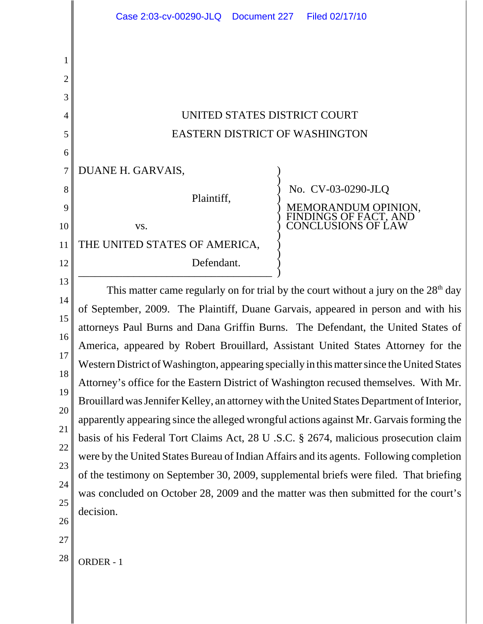|                                                                                                               | Case 2:03-cv-00290-JLQ<br>Document 227<br>Filed 02/17/10                                                                                                                                                                                                                                                                                                                                                                                                                                                                                                                                                                                                                                                                                                                                                                                                                                                                                                                                                                                                                                                           |
|---------------------------------------------------------------------------------------------------------------|--------------------------------------------------------------------------------------------------------------------------------------------------------------------------------------------------------------------------------------------------------------------------------------------------------------------------------------------------------------------------------------------------------------------------------------------------------------------------------------------------------------------------------------------------------------------------------------------------------------------------------------------------------------------------------------------------------------------------------------------------------------------------------------------------------------------------------------------------------------------------------------------------------------------------------------------------------------------------------------------------------------------------------------------------------------------------------------------------------------------|
| 1<br>$\overline{2}$<br>3<br>4<br>5<br>6<br>7<br>8                                                             | UNITED STATES DISTRICT COURT<br><b>EASTERN DISTRICT OF WASHINGTON</b><br>DUANE H. GARVAIS,<br>No. CV-03-0290-JLQ                                                                                                                                                                                                                                                                                                                                                                                                                                                                                                                                                                                                                                                                                                                                                                                                                                                                                                                                                                                                   |
| 9<br>10<br>11<br>12<br>13<br>14<br>15<br>16<br>17<br>18<br>19<br>20<br>21<br>22<br>23<br>24<br>25<br>26<br>27 | Plaintiff,<br>MEMORANDUM OPINION,<br>FINDINGS OF FACT, AND<br>CONCLUSIONS OF LAW<br>VS.<br>THE UNITED STATES OF AMERICA,<br>Defendant.                                                                                                                                                                                                                                                                                                                                                                                                                                                                                                                                                                                                                                                                                                                                                                                                                                                                                                                                                                             |
|                                                                                                               | This matter came regularly on for trial by the court without a jury on the $28th$ day<br>of September, 2009. The Plaintiff, Duane Garvais, appeared in person and with his<br>attorneys Paul Burns and Dana Griffin Burns. The Defendant, the United States of<br>America, appeared by Robert Brouillard, Assistant United States Attorney for the<br>Western District of Washington, appearing specially in this matter since the United States<br>Attorney's office for the Eastern District of Washington recused themselves. With Mr.<br>Brouillard was Jennifer Kelley, an attorney with the United States Department of Interior,<br>apparently appearing since the alleged wrongful actions against Mr. Garvais forming the<br>basis of his Federal Tort Claims Act, 28 U .S.C. § 2674, malicious prosecution claim<br>were by the United States Bureau of Indian Affairs and its agents. Following completion<br>of the testimony on September 30, 2009, supplemental briefs were filed. That briefing<br>was concluded on October 28, 2009 and the matter was then submitted for the court's<br>decision. |
| 28                                                                                                            | ORDER - 1                                                                                                                                                                                                                                                                                                                                                                                                                                                                                                                                                                                                                                                                                                                                                                                                                                                                                                                                                                                                                                                                                                          |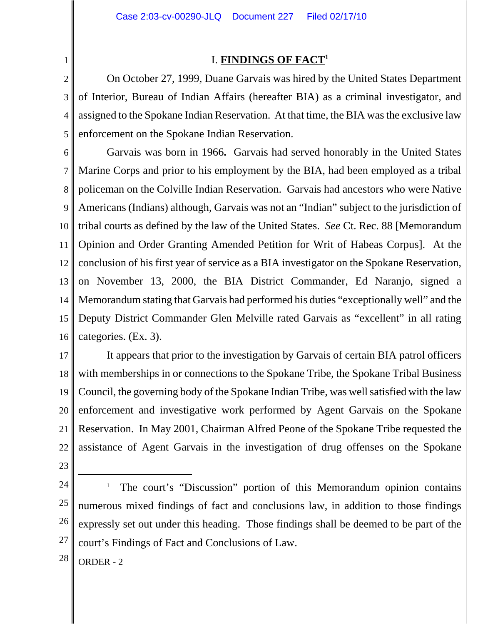## I. **FINDINGS OF FACT1**

2 3 4 5 On October 27, 1999, Duane Garvais was hired by the United States Department of Interior, Bureau of Indian Affairs (hereafter BIA) as a criminal investigator, and assigned to the Spokane Indian Reservation. At that time, the BIA was the exclusive law enforcement on the Spokane Indian Reservation.

6 7 8 9 10 11 12 13 14 15 16 Garvais was born in 1966**.** Garvais had served honorably in the United States Marine Corps and prior to his employment by the BIA, had been employed as a tribal policeman on the Colville Indian Reservation. Garvais had ancestors who were Native Americans (Indians) although, Garvais was not an "Indian" subject to the jurisdiction of tribal courts as defined by the law of the United States. *See* Ct. Rec. 88 [Memorandum Opinion and Order Granting Amended Petition for Writ of Habeas Corpus]. At the conclusion of his first year of service as a BIA investigator on the Spokane Reservation, on November 13, 2000, the BIA District Commander, Ed Naranjo, signed a Memorandum stating that Garvais had performed his duties "exceptionally well" and the Deputy District Commander Glen Melville rated Garvais as "excellent" in all rating categories. (Ex. 3).

17 18 19 20 21 22 It appears that prior to the investigation by Garvais of certain BIA patrol officers with memberships in or connections to the Spokane Tribe, the Spokane Tribal Business Council, the governing body of the Spokane Indian Tribe, was well satisfied with the law enforcement and investigative work performed by Agent Garvais on the Spokane Reservation. In May 2001, Chairman Alfred Peone of the Spokane Tribe requested the assistance of Agent Garvais in the investigation of drug offenses on the Spokane

23

1

24

25 26 27 1 The court's "Discussion" portion of this Memorandum opinion contains numerous mixed findings of fact and conclusions law, in addition to those findings expressly set out under this heading. Those findings shall be deemed to be part of the court's Findings of Fact and Conclusions of Law.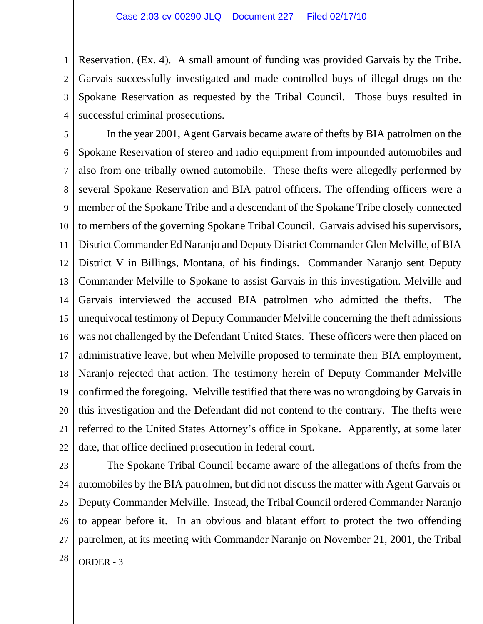1 2 3 4 Reservation. (Ex. 4). A small amount of funding was provided Garvais by the Tribe. Garvais successfully investigated and made controlled buys of illegal drugs on the Spokane Reservation as requested by the Tribal Council. Those buys resulted in successful criminal prosecutions.

5 6 7 8 9 10 11 12 13 14 15 16 17 18 19 20 21 22 In the year 2001, Agent Garvais became aware of thefts by BIA patrolmen on the Spokane Reservation of stereo and radio equipment from impounded automobiles and also from one tribally owned automobile. These thefts were allegedly performed by several Spokane Reservation and BIA patrol officers. The offending officers were a member of the Spokane Tribe and a descendant of the Spokane Tribe closely connected to members of the governing Spokane Tribal Council. Garvais advised his supervisors, District Commander Ed Naranjo and Deputy District Commander Glen Melville, of BIA District V in Billings, Montana, of his findings. Commander Naranjo sent Deputy Commander Melville to Spokane to assist Garvais in this investigation. Melville and Garvais interviewed the accused BIA patrolmen who admitted the thefts. The unequivocal testimony of Deputy Commander Melville concerning the theft admissions was not challenged by the Defendant United States. These officers were then placed on administrative leave, but when Melville proposed to terminate their BIA employment, Naranjo rejected that action. The testimony herein of Deputy Commander Melville confirmed the foregoing. Melville testified that there was no wrongdoing by Garvais in this investigation and the Defendant did not contend to the contrary. The thefts were referred to the United States Attorney's office in Spokane. Apparently, at some later date, that office declined prosecution in federal court.

23 24 25 26 27  $28$  ORDER - 3 The Spokane Tribal Council became aware of the allegations of thefts from the automobiles by the BIA patrolmen, but did not discuss the matter with Agent Garvais or Deputy Commander Melville. Instead, the Tribal Council ordered Commander Naranjo to appear before it. In an obvious and blatant effort to protect the two offending patrolmen, at its meeting with Commander Naranjo on November 21, 2001, the Tribal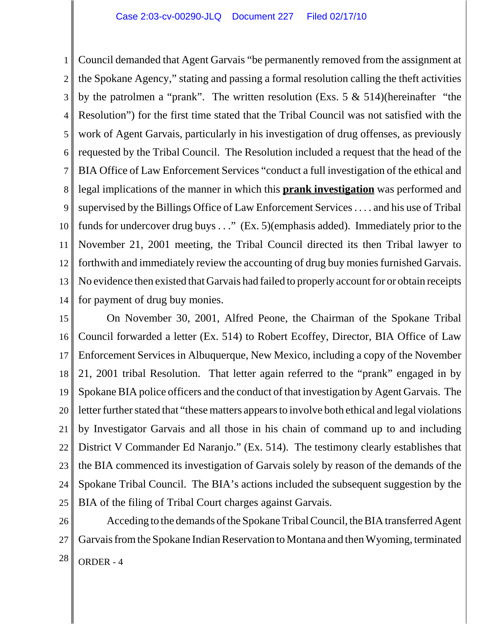1 2 3 4 5 6 7 8 9 10 11 12 13 14 Council demanded that Agent Garvais "be permanently removed from the assignment at the Spokane Agency," stating and passing a formal resolution calling the theft activities by the patrolmen a "prank". The written resolution (Exs.  $5 \& 514$ )(hereinafter "the Resolution") for the first time stated that the Tribal Council was not satisfied with the work of Agent Garvais, particularly in his investigation of drug offenses, as previously requested by the Tribal Council. The Resolution included a request that the head of the BIA Office of Law Enforcement Services "conduct a full investigation of the ethical and legal implications of the manner in which this **prank investigation** was performed and supervised by the Billings Office of Law Enforcement Services . . . . and his use of Tribal funds for undercover drug buys . . ." (Ex. 5)(emphasis added). Immediately prior to the November 21, 2001 meeting, the Tribal Council directed its then Tribal lawyer to forthwith and immediately review the accounting of drug buy monies furnished Garvais. No evidence then existed that Garvais had failed to properly account for or obtain receipts for payment of drug buy monies.

15 16 17 18 19 20 21 22 23 24 25 On November 30, 2001, Alfred Peone, the Chairman of the Spokane Tribal Council forwarded a letter (Ex. 514) to Robert Ecoffey, Director, BIA Office of Law Enforcement Services in Albuquerque, New Mexico, including a copy of the November 21, 2001 tribal Resolution. That letter again referred to the "prank" engaged in by Spokane BIA police officers and the conduct of that investigation by Agent Garvais. The letter further stated that "these matters appears to involve both ethical and legal violations by Investigator Garvais and all those in his chain of command up to and including District V Commander Ed Naranjo." (Ex. 514).The testimony clearly establishes that the BIA commenced its investigation of Garvais solely by reason of the demands of the Spokane Tribal Council. The BIA's actions included the subsequent suggestion by the BIA of the filing of Tribal Court charges against Garvais.

26 27  $28$  ORDER - 4 Acceding to the demands of the Spokane Tribal Council, the BIA transferred Agent Garvais from the Spokane Indian Reservation to Montana and then Wyoming, terminated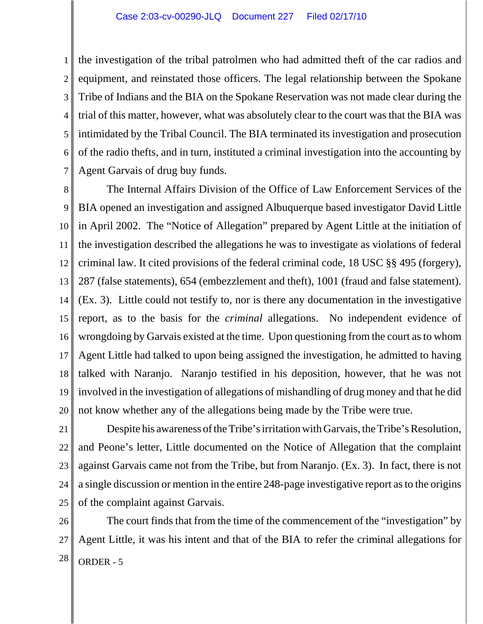1 2 3 4 5 6 7 the investigation of the tribal patrolmen who had admitted theft of the car radios and equipment, and reinstated those officers. The legal relationship between the Spokane Tribe of Indians and the BIA on the Spokane Reservation was not made clear during the trial of this matter, however, what was absolutely clear to the court was that the BIA was intimidated by the Tribal Council. The BIA terminated its investigation and prosecution of the radio thefts, and in turn, instituted a criminal investigation into the accounting by Agent Garvais of drug buy funds.

8 9 10 11 12 13 14 15 16 17 18 19 20 The Internal Affairs Division of the Office of Law Enforcement Services of the BIA opened an investigation and assigned Albuquerque based investigator David Little in April 2002. The "Notice of Allegation" prepared by Agent Little at the initiation of the investigation described the allegations he was to investigate as violations of federal criminal law. It cited provisions of the federal criminal code, 18 USC §§ 495 (forgery), 287 (false statements), 654 (embezzlement and theft), 1001 (fraud and false statement). (Ex. 3). Little could not testify to, nor is there any documentation in the investigative report, as to the basis for the *criminal* allegations. No independent evidence of wrongdoing by Garvais existed at the time. Upon questioning from the court as to whom Agent Little had talked to upon being assigned the investigation, he admitted to having talked with Naranjo. Naranjo testified in his deposition, however, that he was not involved in the investigation of allegations of mishandling of drug money and that he did not know whether any of the allegations being made by the Tribe were true.

21 22 23 24 25 Despite his awareness of the Tribe's irritation with Garvais, the Tribe's Resolution, and Peone's letter, Little documented on the Notice of Allegation that the complaint against Garvais came not from the Tribe, but from Naranjo. (Ex. 3). In fact, there is not a single discussion or mention in the entire 248-page investigative report as to the origins of the complaint against Garvais.

26 27  $28$  ORDER - 5 The court finds that from the time of the commencement of the "investigation" by Agent Little, it was his intent and that of the BIA to refer the criminal allegations for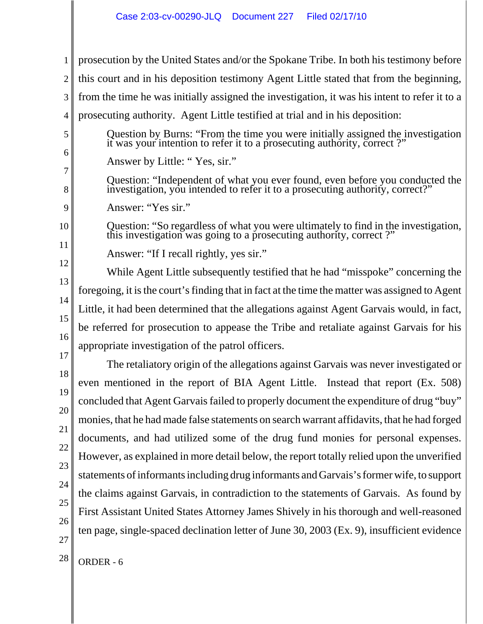1 2 3 4 5 6 7 8 9 10 11 12 13 14 15 16 17 18 19 20 21 22 23 24 25 26 27  $28$  ORDER - 6 prosecution by the United States and/or the Spokane Tribe. In both his testimony before this court and in his deposition testimony Agent Little stated that from the beginning, from the time he was initially assigned the investigation, it was his intent to refer it to a prosecuting authority. Agent Little testified at trial and in his deposition: Question by Burns: "From the time you were initially assigned the investigation it was your intention to refer it to a prosecuting authority, correct ?" Answer by Little: " Yes, sir." Question: "Independent of what you ever found, even before you conducted the investigation, you intended to refer it to a prosecuting authority, correct?" Answer: "Yes sir." Question: "So regardless of what you were ultimately to find in the investigation, this investigation was going to a prosecuting authority, correct ?" Answer: "If I recall rightly, yes sir." While Agent Little subsequently testified that he had "misspoke" concerning the foregoing, it is the court's finding that in fact at the time the matter was assigned to Agent Little, it had been determined that the allegations against Agent Garvais would, in fact, be referred for prosecution to appease the Tribe and retaliate against Garvais for his appropriate investigation of the patrol officers. The retaliatory origin of the allegations against Garvais was never investigated or even mentioned in the report of BIA Agent Little. Instead that report (Ex. 508) concluded that Agent Garvais failed to properly document the expenditure of drug "buy" monies, that he had made false statements on search warrant affidavits, that he had forged documents, and had utilized some of the drug fund monies for personal expenses. However, as explained in more detail below, the report totally relied upon the unverified statements of informants including drug informants and Garvais's former wife, to support the claims against Garvais, in contradiction to the statements of Garvais. As found by First Assistant United States Attorney James Shively in his thorough and well-reasoned ten page, single-spaced declination letter of June 30, 2003 (Ex. 9), insufficient evidence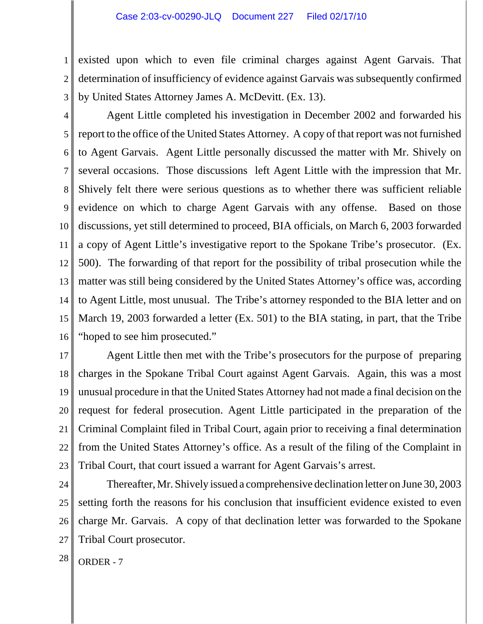1 2 3 existed upon which to even file criminal charges against Agent Garvais. That determination of insufficiency of evidence against Garvais was subsequently confirmed by United States Attorney James A. McDevitt. (Ex. 13).

4 5 6 7 8 9 10 11 12 13 14 15 16 Agent Little completed his investigation in December 2002 and forwarded his report to the office of the United States Attorney. A copy of that report was not furnished to Agent Garvais. Agent Little personally discussed the matter with Mr. Shively on several occasions. Those discussions left Agent Little with the impression that Mr. Shively felt there were serious questions as to whether there was sufficient reliable evidence on which to charge Agent Garvais with any offense. Based on those discussions, yet still determined to proceed, BIA officials, on March 6, 2003 forwarded a copy of Agent Little's investigative report to the Spokane Tribe's prosecutor. (Ex. 500). The forwarding of that report for the possibility of tribal prosecution while the matter was still being considered by the United States Attorney's office was, according to Agent Little, most unusual. The Tribe's attorney responded to the BIA letter and on March 19, 2003 forwarded a letter (Ex. 501) to the BIA stating, in part, that the Tribe "hoped to see him prosecuted."

17 18 19 20 21 22 23 Agent Little then met with the Tribe's prosecutors for the purpose of preparing charges in the Spokane Tribal Court against Agent Garvais. Again, this was a most unusual procedure in that the United States Attorney had not made a final decision on the request for federal prosecution. Agent Little participated in the preparation of the Criminal Complaint filed in Tribal Court, again prior to receiving a final determination from the United States Attorney's office. As a result of the filing of the Complaint in Tribal Court, that court issued a warrant for Agent Garvais's arrest.

24 25 26 27 Thereafter, Mr. Shively issued a comprehensive declination letter on June 30, 2003 setting forth the reasons for his conclusion that insufficient evidence existed to even charge Mr. Garvais. A copy of that declination letter was forwarded to the Spokane Tribal Court prosecutor.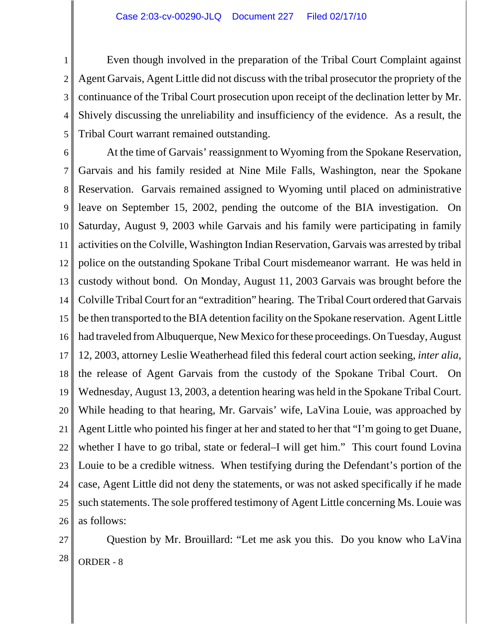Even though involved in the preparation of the Tribal Court Complaint against Agent Garvais, Agent Little did not discuss with the tribal prosecutor the propriety of the continuance of the Tribal Court prosecution upon receipt of the declination letter by Mr. Shively discussing the unreliability and insufficiency of the evidence. As a result, the Tribal Court warrant remained outstanding.

5

1

2

3

4

6 7 8 9 10 11 12 13 14 15 16 17 18 19 20 21 22 23 24 25 26 At the time of Garvais' reassignment to Wyoming from the Spokane Reservation, Garvais and his family resided at Nine Mile Falls, Washington, near the Spokane Reservation. Garvais remained assigned to Wyoming until placed on administrative leave on September 15, 2002, pending the outcome of the BIA investigation. On Saturday, August 9, 2003 while Garvais and his family were participating in family activities on the Colville, Washington Indian Reservation, Garvais was arrested by tribal police on the outstanding Spokane Tribal Court misdemeanor warrant. He was held in custody without bond. On Monday, August 11, 2003 Garvais was brought before the Colville Tribal Court for an "extradition" hearing. The Tribal Court ordered that Garvais be then transported to the BIA detention facility on the Spokane reservation. Agent Little had traveled from Albuquerque, New Mexico for these proceedings. On Tuesday, August 12, 2003, attorney Leslie Weatherhead filed this federal court action seeking, *inter alia*, the release of Agent Garvais from the custody of the Spokane Tribal Court. On Wednesday, August 13, 2003, a detention hearing was held in the Spokane Tribal Court. While heading to that hearing, Mr. Garvais' wife, LaVina Louie, was approached by Agent Little who pointed his finger at her and stated to her that "I'm going to get Duane, whether I have to go tribal, state or federal–I will get him." This court found Lovina Louie to be a credible witness. When testifying during the Defendant's portion of the case, Agent Little did not deny the statements, or was not asked specifically if he made such statements. The sole proffered testimony of Agent Little concerning Ms. Louie was as follows:

27

 $28$  ORDER - 8 Question by Mr. Brouillard: "Let me ask you this. Do you know who LaVina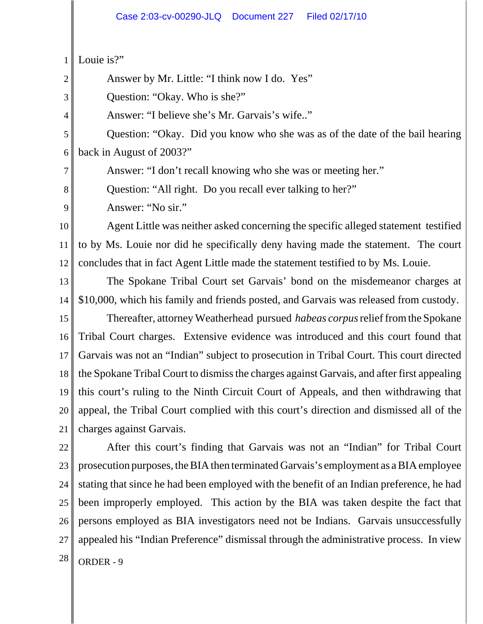1 Louie is?"

2

3

4

7

8

9

Answer by Mr. Little: "I think now I do. Yes"

Question: "Okay. Who is she?"

Answer: "I believe she's Mr. Garvais's wife.."

5 6 Question: "Okay. Did you know who she was as of the date of the bail hearing back in August of 2003?"

Answer: "I don't recall knowing who she was or meeting her."

Question: "All right. Do you recall ever talking to her?"

Answer: "No sir."

10 11 12 Agent Little was neither asked concerning the specific alleged statement testified to by Ms. Louie nor did he specifically deny having made the statement. The court concludes that in fact Agent Little made the statement testified to by Ms. Louie.

13 14 The Spokane Tribal Court set Garvais' bond on the misdemeanor charges at \$10,000, which his family and friends posted, and Garvais was released from custody.

15 16 17 18 19 20 21 Thereafter, attorney Weatherhead pursued *habeas corpus* relief from the Spokane Tribal Court charges. Extensive evidence was introduced and this court found that Garvais was not an "Indian" subject to prosecution in Tribal Court. This court directed the Spokane Tribal Court to dismiss the charges against Garvais, and after first appealing this court's ruling to the Ninth Circuit Court of Appeals, and then withdrawing that appeal, the Tribal Court complied with this court's direction and dismissed all of the charges against Garvais.

22 23 24 25 26 27  $28$  ORDER - 9 After this court's finding that Garvais was not an "Indian" for Tribal Court prosecution purposes, the BIA then terminated Garvais's employment as a BIA employee stating that since he had been employed with the benefit of an Indian preference, he had been improperly employed. This action by the BIA was taken despite the fact that persons employed as BIA investigators need not be Indians. Garvais unsuccessfully appealed his "Indian Preference" dismissal through the administrative process. In view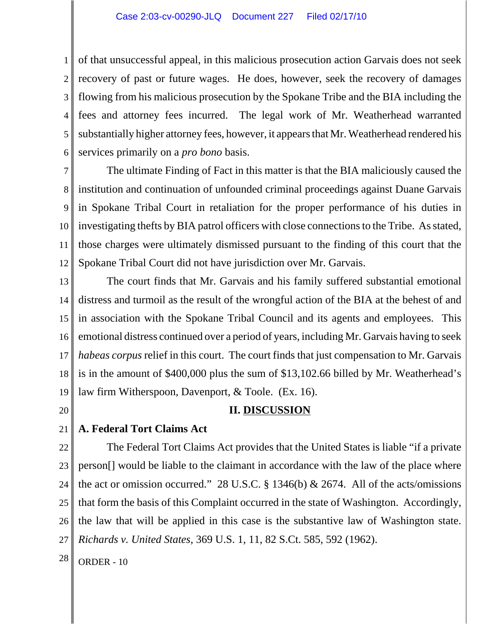1 2 3 4 5 6 of that unsuccessful appeal, in this malicious prosecution action Garvais does not seek recovery of past or future wages. He does, however, seek the recovery of damages flowing from his malicious prosecution by the Spokane Tribe and the BIA including the fees and attorney fees incurred. The legal work of Mr. Weatherhead warranted substantially higher attorney fees, however, it appears that Mr. Weatherhead rendered his services primarily on a *pro bono* basis.

7 8 9 10 11 12 The ultimate Finding of Fact in this matter is that the BIA maliciously caused the institution and continuation of unfounded criminal proceedings against Duane Garvais in Spokane Tribal Court in retaliation for the proper performance of his duties in investigating thefts by BIA patrol officers with close connections to the Tribe. As stated, those charges were ultimately dismissed pursuant to the finding of this court that the Spokane Tribal Court did not have jurisdiction over Mr. Garvais.

13 14 15 16 17 18 19 The court finds that Mr. Garvais and his family suffered substantial emotional distress and turmoil as the result of the wrongful action of the BIA at the behest of and in association with the Spokane Tribal Council and its agents and employees. This emotional distress continued over a period of years, including Mr. Garvais having to seek *habeas corpus* relief in this court. The court finds that just compensation to Mr. Garvais is in the amount of \$400,000 plus the sum of \$13,102.66 billed by Mr. Weatherhead's law firm Witherspoon, Davenport, & Toole. (Ex. 16).

20

## **II. DISCUSSION**

#### 21 **A. Federal Tort Claims Act**

22 23 24 25 26 27 The Federal Tort Claims Act provides that the United States is liable "if a private person[] would be liable to the claimant in accordance with the law of the place where the act or omission occurred." 28 U.S.C.  $\S$  1346(b) & 2674. All of the acts/omissions that form the basis of this Complaint occurred in the state of Washington. Accordingly, the law that will be applied in this case is the substantive law of Washington state. *Richards v. United States*, 369 U.S. 1, 11, 82 S.Ct. 585, 592 (1962).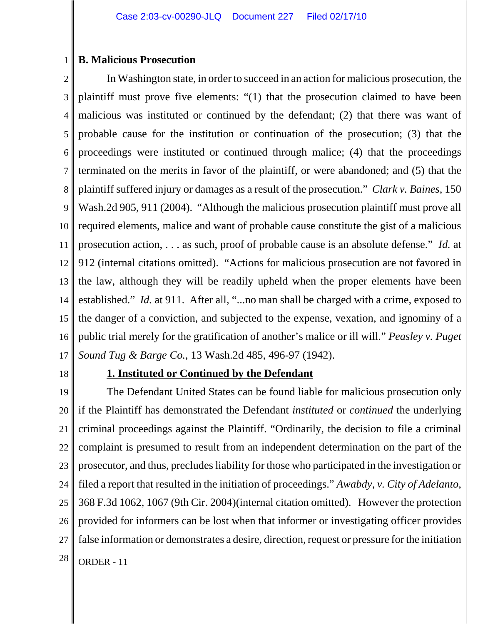## **B. Malicious Prosecution**

2 3 4 5 6 7 8 9 10 11 12 13 14 15 16 17 In Washington state, in order to succeed in an action for malicious prosecution, the plaintiff must prove five elements: "(1) that the prosecution claimed to have been malicious was instituted or continued by the defendant; (2) that there was want of probable cause for the institution or continuation of the prosecution; (3) that the proceedings were instituted or continued through malice; (4) that the proceedings terminated on the merits in favor of the plaintiff, or were abandoned; and (5) that the plaintiff suffered injury or damages as a result of the prosecution." *Clark v. Baines*, 150 Wash.2d 905, 911 (2004). "Although the malicious prosecution plaintiff must prove all required elements, malice and want of probable cause constitute the gist of a malicious prosecution action, . . . as such, proof of probable cause is an absolute defense." *Id.* at 912 (internal citations omitted). "Actions for malicious prosecution are not favored in the law, although they will be readily upheld when the proper elements have been established." *Id.* at 911. After all, "...no man shall be charged with a crime, exposed to the danger of a conviction, and subjected to the expense, vexation, and ignominy of a public trial merely for the gratification of another's malice or ill will." *Peasley v. Puget Sound Tug & Barge Co.*, 13 Wash.2d 485, 496-97 (1942).

18

1

## **1. Instituted or Continued by the Defendant**

19 20 21 22 23 24 25 26 27  $28$  ORDER - 11 The Defendant United States can be found liable for malicious prosecution only if the Plaintiff has demonstrated the Defendant *instituted* or *continued* the underlying criminal proceedings against the Plaintiff. "Ordinarily, the decision to file a criminal complaint is presumed to result from an independent determination on the part of the prosecutor, and thus, precludes liability for those who participated in the investigation or filed a report that resulted in the initiation of proceedings." *Awabdy*, *v. City of Adelanto*, 368 F.3d 1062, 1067 (9th Cir. 2004)(internal citation omitted). However the protection provided for informers can be lost when that informer or investigating officer provides false information or demonstrates a desire, direction, request or pressure for the initiation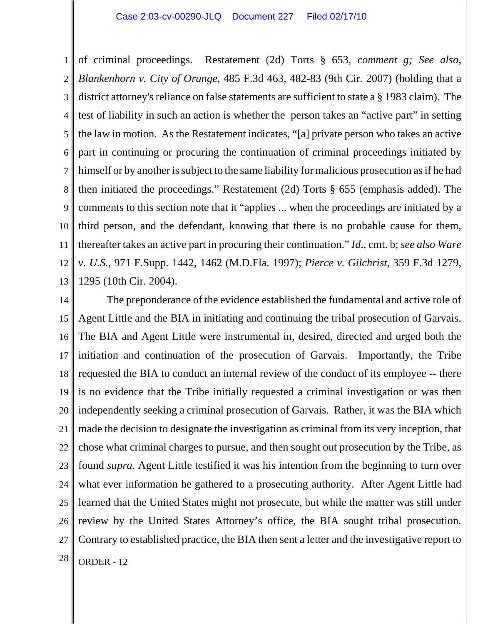1 2 3 4 5 6 7 8 9 10 11 12 13 of criminal proceedings. Restatement (2d) Torts § 653*, comment g; See also, Blankenhorn v. City of Orange*, 485 F.3d 463, 482-83 (9th Cir. 2007) (holding that a district attorney's reliance on false statements are sufficient to state a § 1983 claim). The test of liability in such an action is whether the person takes an "active part" in setting the law in motion. As the Restatement indicates, "[a] private person who takes an active part in continuing or procuring the continuation of criminal proceedings initiated by himself or by another is subject to the same liability for malicious prosecution as if he had then initiated the proceedings." Restatement (2d) Torts § 655 (emphasis added). The comments to this section note that it "applies ... when the proceedings are initiated by a third person, and the defendant, knowing that there is no probable cause for them, thereafter takes an active part in procuring their continuation." *Id*., cmt. b; *see also Ware v. U.S.*, 971 F.Supp. 1442, 1462 (M.D.Fla. 1997); *Pierce v. Gilchrist*, 359 F.3d 1279, 1295 (10th Cir. 2004).

14 15 16 17 18 19 20 21 22 23 24 25 26 27  $28$  ORDER - 12 The preponderance of the evidence established the fundamental and active role of Agent Little and the BIA in initiating and continuing the tribal prosecution of Garvais. The BIA and Agent Little were instrumental in, desired, directed and urged both the initiation and continuation of the prosecution of Garvais. Importantly, the Tribe requested the BIA to conduct an internal review of the conduct of its employee -- there is no evidence that the Tribe initially requested a criminal investigation or was then independently seeking a criminal prosecution of Garvais. Rather, it was the BIA which made the decision to designate the investigation as criminal from its very inception, that chose what criminal charges to pursue, and then sought out prosecution by the Tribe, as found *supra*. Agent Little testified it was his intention from the beginning to turn over what ever information he gathered to a prosecuting authority. After Agent Little had learned that the United States might not prosecute, but while the matter was still under review by the United States Attorney's office, the BIA sought tribal prosecution. Contrary to established practice, the BIA then sent a letter and the investigative report to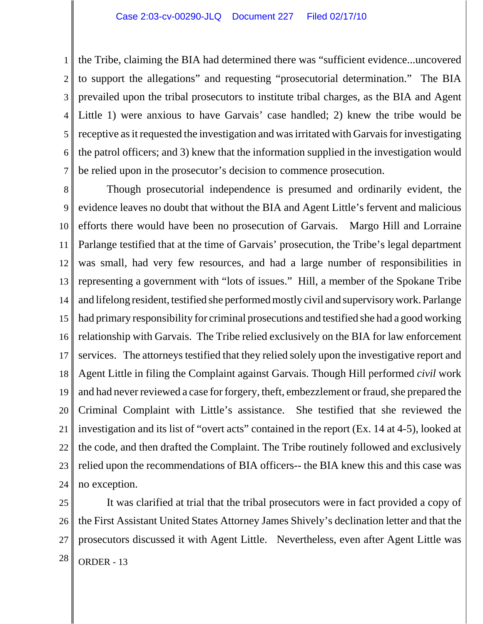1 2 3 4 5 6 7 the Tribe, claiming the BIA had determined there was "sufficient evidence...uncovered to support the allegations" and requesting "prosecutorial determination." The BIA prevailed upon the tribal prosecutors to institute tribal charges, as the BIA and Agent Little 1) were anxious to have Garvais' case handled; 2) knew the tribe would be receptive as it requested the investigation and was irritated with Garvais for investigating the patrol officers; and 3) knew that the information supplied in the investigation would be relied upon in the prosecutor's decision to commence prosecution.

8 9 10 11 12 13 14 15 16 17 18 19 20 21 22 23 24 Though prosecutorial independence is presumed and ordinarily evident, the evidence leaves no doubt that without the BIA and Agent Little's fervent and malicious efforts there would have been no prosecution of Garvais. Margo Hill and Lorraine Parlange testified that at the time of Garvais' prosecution, the Tribe's legal department was small, had very few resources, and had a large number of responsibilities in representing a government with "lots of issues." Hill, a member of the Spokane Tribe and lifelong resident, testified she performed mostly civil and supervisory work. Parlange had primary responsibility for criminal prosecutions and testified she had a good working relationship with Garvais. The Tribe relied exclusively on the BIA for law enforcement services. The attorneys testified that they relied solely upon the investigative report and Agent Little in filing the Complaint against Garvais. Though Hill performed *civil* work and had never reviewed a case for forgery, theft, embezzlement or fraud, she prepared the Criminal Complaint with Little's assistance. She testified that she reviewed the investigation and its list of "overt acts" contained in the report (Ex. 14 at 4-5), looked at the code, and then drafted the Complaint. The Tribe routinely followed and exclusively relied upon the recommendations of BIA officers-- the BIA knew this and this case was no exception.

25 26 27  $28$  ORDER - 13 It was clarified at trial that the tribal prosecutors were in fact provided a copy of the First Assistant United States Attorney James Shively's declination letter and that the prosecutors discussed it with Agent Little. Nevertheless, even after Agent Little was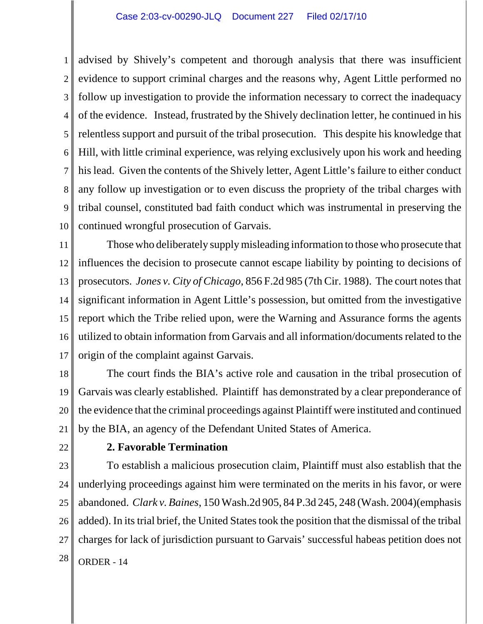1 2 3 4 5 6 7 8 9 10 advised by Shively's competent and thorough analysis that there was insufficient evidence to support criminal charges and the reasons why, Agent Little performed no follow up investigation to provide the information necessary to correct the inadequacy of the evidence. Instead, frustrated by the Shively declination letter, he continued in his relentless support and pursuit of the tribal prosecution. This despite his knowledge that Hill, with little criminal experience, was relying exclusively upon his work and heeding his lead. Given the contents of the Shively letter, Agent Little's failure to either conduct any follow up investigation or to even discuss the propriety of the tribal charges with tribal counsel, constituted bad faith conduct which was instrumental in preserving the continued wrongful prosecution of Garvais.

11 12 13 14 15 16 17 Those who deliberately supply misleading information to those who prosecute that influences the decision to prosecute cannot escape liability by pointing to decisions of prosecutors. *Jones v. City of Chicago*, 856 F.2d 985 (7th Cir. 1988). The court notes that significant information in Agent Little's possession, but omitted from the investigative report which the Tribe relied upon, were the Warning and Assurance forms the agents utilized to obtain information from Garvais and all information/documents related to the origin of the complaint against Garvais.

18 19 20 21 The court finds the BIA's active role and causation in the tribal prosecution of Garvais was clearly established. Plaintiff has demonstrated by a clear preponderance of the evidence that the criminal proceedings against Plaintiff were instituted and continued by the BIA, an agency of the Defendant United States of America.

22

## **2. Favorable Termination**

23 24 25 26 27  $28$  ORDER - 14 To establish a malicious prosecution claim, Plaintiff must also establish that the underlying proceedings against him were terminated on the merits in his favor, or were abandoned. *Clark v. Baines*, 150 Wash.2d 905, 84 P.3d 245, 248 (Wash. 2004)(emphasis added). In its trial brief, the United States took the position that the dismissal of the tribal charges for lack of jurisdiction pursuant to Garvais' successful habeas petition does not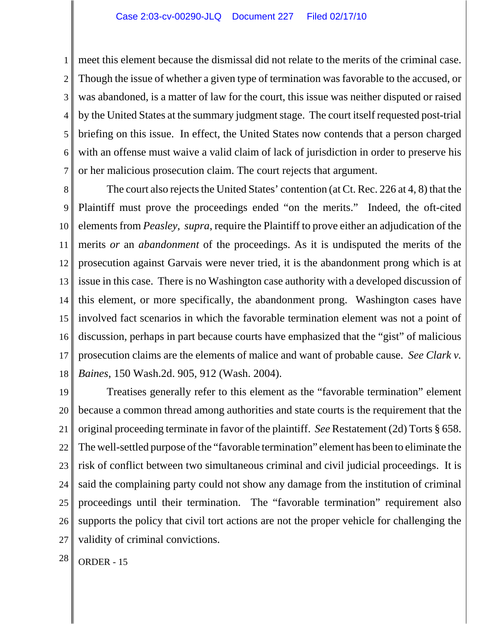1 2 3 4 5 6 7 meet this element because the dismissal did not relate to the merits of the criminal case. Though the issue of whether a given type of termination was favorable to the accused, or was abandoned, is a matter of law for the court, this issue was neither disputed or raised by the United States at the summary judgment stage. The court itself requested post-trial briefing on this issue. In effect, the United States now contends that a person charged with an offense must waive a valid claim of lack of jurisdiction in order to preserve his or her malicious prosecution claim. The court rejects that argument.

8 9 10 11 12 13 14 15 16 17 18 The court also rejects the United States' contention (at Ct. Rec. 226 at 4, 8) that the Plaintiff must prove the proceedings ended "on the merits." Indeed, the oft-cited elements from *Peasley*, *supra*, require the Plaintiff to prove either an adjudication of the merits *or* an *abandonment* of the proceedings. As it is undisputed the merits of the prosecution against Garvais were never tried, it is the abandonment prong which is at issue in this case. There is no Washington case authority with a developed discussion of this element, or more specifically, the abandonment prong. Washington cases have involved fact scenarios in which the favorable termination element was not a point of discussion, perhaps in part because courts have emphasized that the "gist" of malicious prosecution claims are the elements of malice and want of probable cause. *See Clark v. Baines*, 150 Wash.2d. 905, 912 (Wash. 2004).

19 20 21 22 23 24 25 26 27 Treatises generally refer to this element as the "favorable termination" element because a common thread among authorities and state courts is the requirement that the original proceeding terminate in favor of the plaintiff. *See* Restatement (2d) Torts § 658. The well-settled purpose of the "favorable termination" element has been to eliminate the risk of conflict between two simultaneous criminal and civil judicial proceedings. It is said the complaining party could not show any damage from the institution of criminal proceedings until their termination. The "favorable termination" requirement also supports the policy that civil tort actions are not the proper vehicle for challenging the validity of criminal convictions.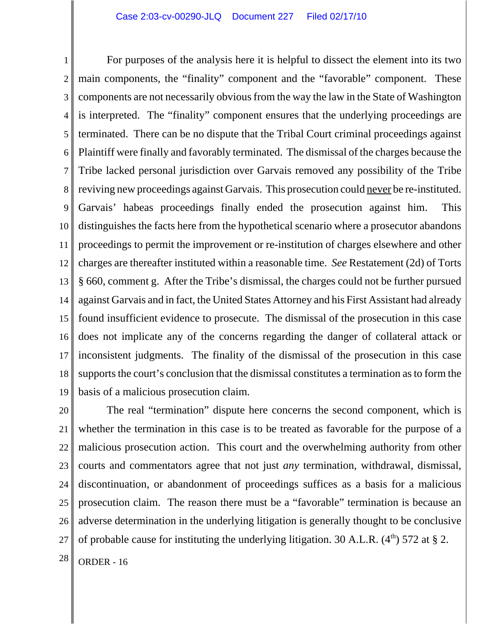1 2 3 4 5 6 7 8 9 10 11 12 13 14 15 16 17 18 19 For purposes of the analysis here it is helpful to dissect the element into its two main components, the "finality" component and the "favorable" component. These components are not necessarily obvious from the way the law in the State of Washington is interpreted. The "finality" component ensures that the underlying proceedings are terminated. There can be no dispute that the Tribal Court criminal proceedings against Plaintiff were finally and favorably terminated. The dismissal of the charges because the Tribe lacked personal jurisdiction over Garvais removed any possibility of the Tribe reviving new proceedings against Garvais. This prosecution could never be re-instituted. Garvais' habeas proceedings finally ended the prosecution against him. This distinguishes the facts here from the hypothetical scenario where a prosecutor abandons proceedings to permit the improvement or re-institution of charges elsewhere and other charges are thereafter instituted within a reasonable time. *See* Restatement (2d) of Torts § 660, comment g. After the Tribe's dismissal, the charges could not be further pursued against Garvais and in fact, the United States Attorney and his First Assistant had already found insufficient evidence to prosecute. The dismissal of the prosecution in this case does not implicate any of the concerns regarding the danger of collateral attack or inconsistent judgments. The finality of the dismissal of the prosecution in this case supports the court's conclusion that the dismissal constitutes a termination as to form the basis of a malicious prosecution claim.

20 21 22 23 24 25 26 27 The real "termination" dispute here concerns the second component, which is whether the termination in this case is to be treated as favorable for the purpose of a malicious prosecution action. This court and the overwhelming authority from other courts and commentators agree that not just *any* termination, withdrawal, dismissal, discontinuation, or abandonment of proceedings suffices as a basis for a malicious prosecution claim. The reason there must be a "favorable" termination is because an adverse determination in the underlying litigation is generally thought to be conclusive of probable cause for instituting the underlying litigation. 30 A.L.R.  $(4<sup>th</sup>)$  572 at § 2.

 $28$  ORDER - 16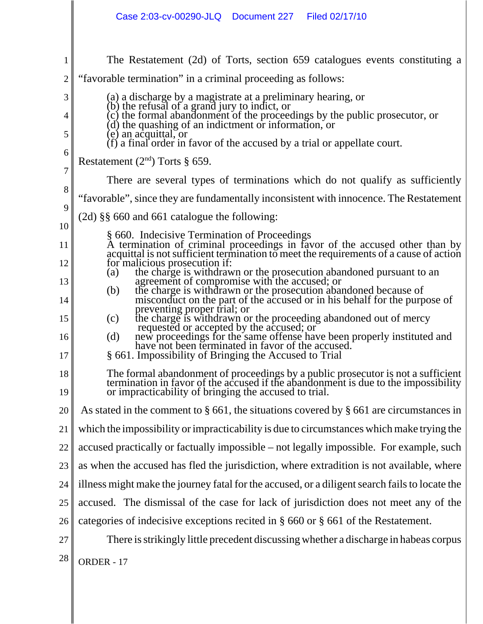|                                                   | Case 2:03-cv-00290-JLQ<br>Document 227   Filed 02/17/10                                                                                                                                                                                                                                                                                                                                                                                                                                                                                      |
|---------------------------------------------------|----------------------------------------------------------------------------------------------------------------------------------------------------------------------------------------------------------------------------------------------------------------------------------------------------------------------------------------------------------------------------------------------------------------------------------------------------------------------------------------------------------------------------------------------|
| 1<br>$\mathfrak{2}$<br>3<br>4<br>5<br>6<br>$\tau$ | The Restatement (2d) of Torts, section 659 catalogues events constituting a<br>"favorable termination" in a criminal proceeding as follows:<br>(a) a discharge by a magistrate at a preliminary hearing, or<br>(b) the refusal of a grand jury to indict, or<br>(c) the formal abandonment of the proceedings by the public prosecutor, or<br>(d) the quashing of an indictment or information, or<br>(e) an acquittal, or<br>$(f)$ a final order in favor of the accused by a trial or appellate court.<br>Restatement $(2nd)$ Torts § 659. |
| 8                                                 | There are several types of terminations which do not qualify as sufficiently                                                                                                                                                                                                                                                                                                                                                                                                                                                                 |
| 9                                                 | "favorable", since they are fundamentally inconsistent with innocence. The Restatement                                                                                                                                                                                                                                                                                                                                                                                                                                                       |
| 10                                                | $(2d)$ §§ 660 and 661 catalogue the following:                                                                                                                                                                                                                                                                                                                                                                                                                                                                                               |
| 11                                                | § 660. Indecisive Termination of Proceedings<br>A termination of criminal proceedings in favor of the accused other than by                                                                                                                                                                                                                                                                                                                                                                                                                  |
| 12                                                | acquittal is not sufficient termination to meet the requirements of a cause of action<br>for malicious prosecution if:                                                                                                                                                                                                                                                                                                                                                                                                                       |
| 13                                                | the charge is withdrawn or the prosecution abandoned pursuant to an<br>(a)<br>agreement of compromise with the accused; or<br>the charge is withdrawn or the prosecution abandoned because of                                                                                                                                                                                                                                                                                                                                                |
| 14                                                | (b)<br>misconduct on the part of the accused or in his behalf for the purpose of<br>preventing proper trial; or                                                                                                                                                                                                                                                                                                                                                                                                                              |
| 15                                                | the charge is withdrawn or the proceeding abandoned out of mercy<br>(c)                                                                                                                                                                                                                                                                                                                                                                                                                                                                      |
| 16<br>17                                          | requested or accepted by the accused; or<br>new proceedings for the same offense have been properly instituted and<br>(d)<br>have not been terminated in favor of the accused.<br>§ 661. Impossibility of Bringing the Accused to Trial                                                                                                                                                                                                                                                                                                      |
| 18<br>19                                          | The formal abandonment of proceedings by a public prosecutor is not a sufficient termination in favor of the accused if the abandonment is due to the impossibility or impracticability of bringing the accused to trial.                                                                                                                                                                                                                                                                                                                    |
| 20                                                | As stated in the comment to $\S$ 661, the situations covered by $\S$ 661 are circumstances in                                                                                                                                                                                                                                                                                                                                                                                                                                                |
| 21                                                | which the impossibility or impracticability is due to circumstances which make trying the                                                                                                                                                                                                                                                                                                                                                                                                                                                    |
| 22                                                | accused practically or factually impossible – not legally impossible. For example, such                                                                                                                                                                                                                                                                                                                                                                                                                                                      |
| 23                                                | as when the accused has fled the jurisdiction, where extradition is not available, where                                                                                                                                                                                                                                                                                                                                                                                                                                                     |
| 24                                                | illness might make the journey fatal for the accused, or a diligent search fails to locate the                                                                                                                                                                                                                                                                                                                                                                                                                                               |
| 25                                                | accused. The dismissal of the case for lack of jurisdiction does not meet any of the                                                                                                                                                                                                                                                                                                                                                                                                                                                         |
| 26                                                | categories of indecisive exceptions recited in $\S$ 660 or $\S$ 661 of the Restatement.                                                                                                                                                                                                                                                                                                                                                                                                                                                      |
| 27                                                | There is strikingly little precedent discussing whether a discharge in habeas corpus                                                                                                                                                                                                                                                                                                                                                                                                                                                         |
| 28                                                | ORDER - 17                                                                                                                                                                                                                                                                                                                                                                                                                                                                                                                                   |
|                                                   |                                                                                                                                                                                                                                                                                                                                                                                                                                                                                                                                              |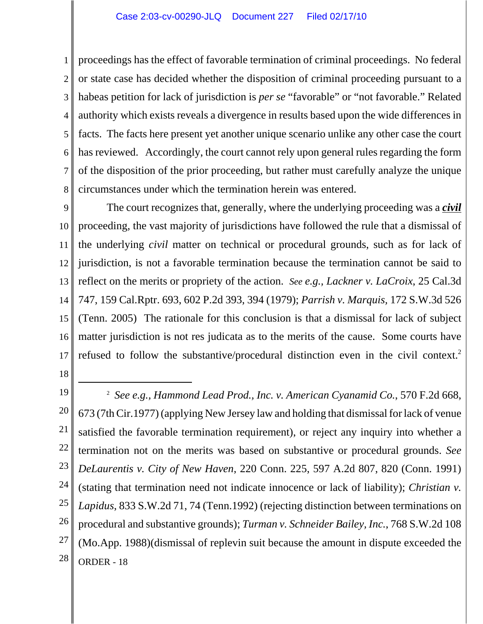1 2 3 4 5 6 7 8 proceedings has the effect of favorable termination of criminal proceedings. No federal or state case has decided whether the disposition of criminal proceeding pursuant to a habeas petition for lack of jurisdiction is *per se* "favorable" or "not favorable." Related authority which exists reveals a divergence in results based upon the wide differences in facts. The facts here present yet another unique scenario unlike any other case the court has reviewed. Accordingly, the court cannot rely upon general rules regarding the form of the disposition of the prior proceeding, but rather must carefully analyze the unique circumstances under which the termination herein was entered.

9 10 11 12 13 14 15 16 17 The court recognizes that, generally, where the underlying proceeding was a *civil* proceeding, the vast majority of jurisdictions have followed the rule that a dismissal of the underlying *civil* matter on technical or procedural grounds, such as for lack of jurisdiction, is not a favorable termination because the termination cannot be said to reflect on the merits or propriety of the action. *See e.g., Lackner v. LaCroix*, 25 Cal.3d 747, 159 Cal.Rptr. 693, 602 P.2d 393, 394 (1979); *Parrish v. Marquis,* 172 S.W.3d 526 (Tenn. 2005) The rationale for this conclusion is that a dismissal for lack of subject matter jurisdiction is not res judicata as to the merits of the cause. Some courts have refused to follow the substantive/procedural distinction even in the civil context.2

- 18
- 19

20 21 22 23 24 25 26 27 28 <sup>2</sup> *See e.g., Hammond Lead Prod., Inc. v. American Cyanamid Co.*, 570 F.2d 668, 673 (7th Cir.1977) (applying New Jersey law and holding that dismissal for lack of venue satisfied the favorable termination requirement), or reject any inquiry into whether a termination not on the merits was based on substantive or procedural grounds. *See DeLaurentis v. City of New Haven*, 220 Conn. 225, 597 A.2d 807, 820 (Conn. 1991) (stating that termination need not indicate innocence or lack of liability); *Christian v. Lapidus*, 833 S.W.2d 71, 74 (Tenn.1992) (rejecting distinction between terminations on procedural and substantive grounds); *Turman v. Schneider Bailey, Inc.*, 768 S.W.2d 108 (Mo.App. 1988)(dismissal of replevin suit because the amount in dispute exceeded the ORDER - 18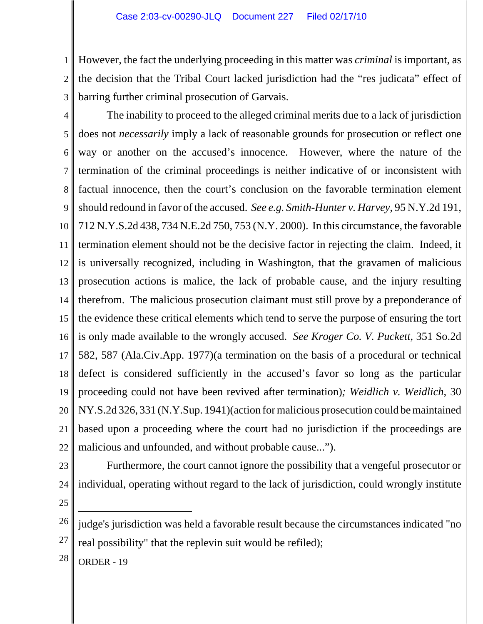1 2 However, the fact the underlying proceeding in this matter was *criminal* is important, as the decision that the Tribal Court lacked jurisdiction had the "res judicata" effect of barring further criminal prosecution of Garvais.

3

4 5 6 7 8 9 10 11 12 13 14 15 16 17 18 19 20 21 22 The inability to proceed to the alleged criminal merits due to a lack of jurisdiction does not *necessarily* imply a lack of reasonable grounds for prosecution or reflect one way or another on the accused's innocence. However, where the nature of the termination of the criminal proceedings is neither indicative of or inconsistent with factual innocence, then the court's conclusion on the favorable termination element should redound in favor of the accused. *See e.g. Smith-Hunter v. Harvey*, 95 N.Y.2d 191, 712 N.Y.S.2d 438, 734 N.E.2d 750, 753 (N.Y. 2000). In this circumstance, the favorable termination element should not be the decisive factor in rejecting the claim. Indeed, it is universally recognized, including in Washington, that the gravamen of malicious prosecution actions is malice, the lack of probable cause, and the injury resulting therefrom. The malicious prosecution claimant must still prove by a preponderance of the evidence these critical elements which tend to serve the purpose of ensuring the tort is only made available to the wrongly accused. *See Kroger Co. V. Puckett*, 351 So.2d 582, 587 (Ala.Civ.App. 1977)(a termination on the basis of a procedural or technical defect is considered sufficiently in the accused's favor so long as the particular proceeding could not have been revived after termination)*; Weidlich v. Weidlich*, 30 NY.S.2d 326, 331 (N.Y.Sup. 1941)(action for malicious prosecution could be maintained based upon a proceeding where the court had no jurisdiction if the proceedings are malicious and unfounded, and without probable cause...").

23

Furthermore, the court cannot ignore the possibility that a vengeful prosecutor or individual, operating without regard to the lack of jurisdiction, could wrongly institute

25

24

26 27 judge's jurisdiction was held a favorable result because the circumstances indicated "no real possibility" that the replevin suit would be refiled);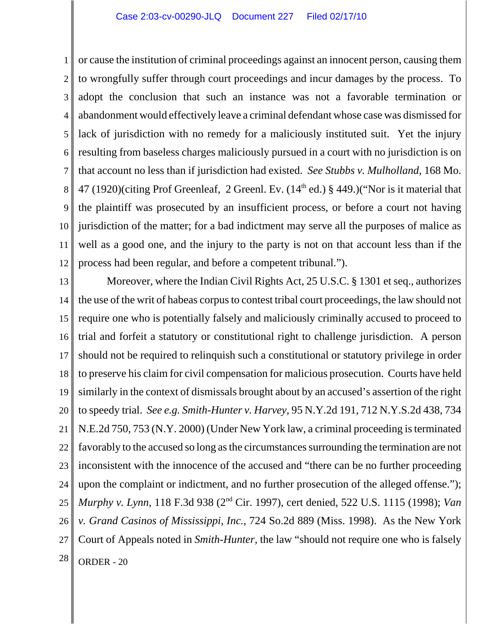1 2 3 4 5 6 7 8 9 10 11 12 or cause the institution of criminal proceedings against an innocent person, causing them to wrongfully suffer through court proceedings and incur damages by the process. To adopt the conclusion that such an instance was not a favorable termination or abandonment would effectively leave a criminal defendant whose case was dismissed for lack of jurisdiction with no remedy for a maliciously instituted suit. Yet the injury resulting from baseless charges maliciously pursued in a court with no jurisdiction is on that account no less than if jurisdiction had existed. *See Stubbs v. Mulholland*, 168 Mo. 47 (1920)(citing Prof Greenleaf, 2 Greenl. Ev.  $(14<sup>th</sup>$  ed.) § 449.)("Nor is it material that the plaintiff was prosecuted by an insufficient process, or before a court not having jurisdiction of the matter; for a bad indictment may serve all the purposes of malice as well as a good one, and the injury to the party is not on that account less than if the process had been regular, and before a competent tribunal.").

13 14 15 16 17 18 19 20 21 22 23 24 25 26 27  $28$  ORDER - 20 Moreover, where the Indian Civil Rights Act, 25 U.S.C. § 1301 et seq., authorizes the use of the writ of habeas corpus to contest tribal court proceedings, the law should not require one who is potentially falsely and maliciously criminally accused to proceed to trial and forfeit a statutory or constitutional right to challenge jurisdiction. A person should not be required to relinquish such a constitutional or statutory privilege in order to preserve his claim for civil compensation for malicious prosecution. Courts have held similarly in the context of dismissals brought about by an accused's assertion of the right to speedy trial. *See e.g. Smith-Hunter v. Harvey*, 95 N.Y.2d 191, 712 N.Y.S.2d 438, 734 N.E.2d 750, 753 (N.Y. 2000) (Under New York law, a criminal proceeding is terminated favorably to the accused so long as the circumstances surrounding the termination are not inconsistent with the innocence of the accused and "there can be no further proceeding upon the complaint or indictment, and no further prosecution of the alleged offense."); *Murphy v. Lynn*, 118 F.3d 938 (2nd Cir. 1997), cert denied, 522 U.S. 1115 (1998); *Van v. Grand Casinos of Mississippi, Inc.*, 724 So.2d 889 (Miss. 1998). As the New York Court of Appeals noted in *Smith-Hunter*, the law "should not require one who is falsely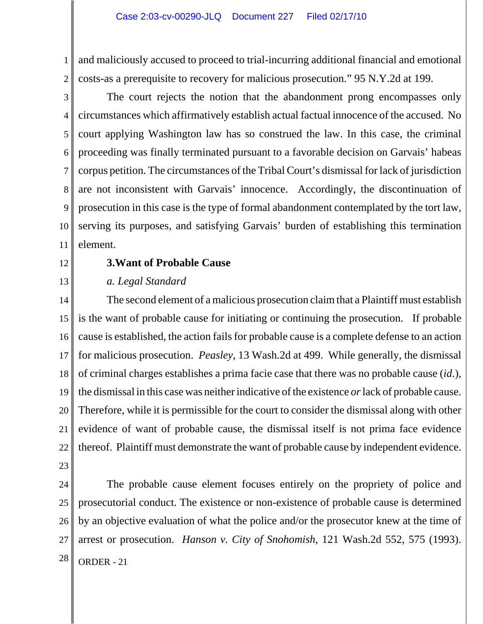1 2 and maliciously accused to proceed to trial-incurring additional financial and emotional costs-as a prerequisite to recovery for malicious prosecution." 95 N.Y.2d at 199.

3 4 5 6 7 8 9 10 11 The court rejects the notion that the abandonment prong encompasses only circumstances which affirmatively establish actual factual innocence of the accused. No court applying Washington law has so construed the law. In this case, the criminal proceeding was finally terminated pursuant to a favorable decision on Garvais' habeas corpus petition. The circumstances of the Tribal Court's dismissal for lack of jurisdiction are not inconsistent with Garvais' innocence. Accordingly, the discontinuation of prosecution in this case is the type of formal abandonment contemplated by the tort law, serving its purposes, and satisfying Garvais' burden of establishing this termination element.

12

13

## **3.Want of Probable Cause**

## *a. Legal Standard*

14 15 16 17 18 19 20 21 22 The second element of a malicious prosecution claim that a Plaintiff must establish is the want of probable cause for initiating or continuing the prosecution. If probable cause is established, the action fails for probable cause is a complete defense to an action for malicious prosecution. *Peasley*, 13 Wash.2d at 499. While generally, the dismissal of criminal charges establishes a prima facie case that there was no probable cause (*id*.), the dismissal in this case was neither indicative of the existence *or* lack of probable cause. Therefore, while it is permissible for the court to consider the dismissal along with other evidence of want of probable cause, the dismissal itself is not prima face evidence thereof. Plaintiff must demonstrate the want of probable cause by independent evidence.

23

24 25 26 27  $28$  ORDER - 21 The probable cause element focuses entirely on the propriety of police and prosecutorial conduct. The existence or non-existence of probable cause is determined by an objective evaluation of what the police and/or the prosecutor knew at the time of arrest or prosecution. *Hanson v. City of Snohomish*, 121 Wash.2d 552, 575 (1993).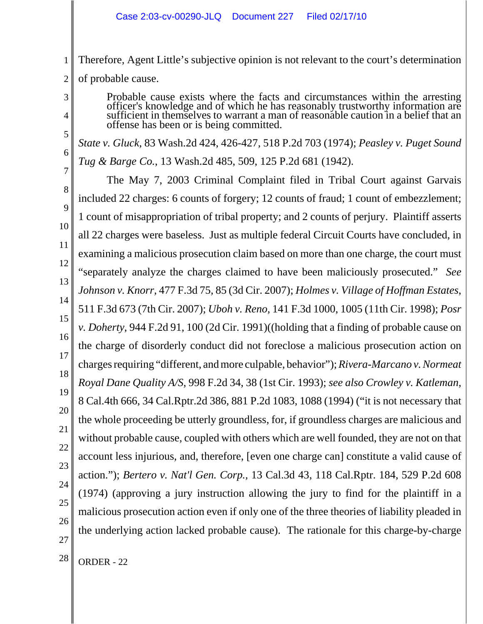Therefore, Agent Little's subjective opinion is not relevant to the court's determination of probable cause.

Probable cause exists where the facts and circumstances within the arresting officer's knowledge and of which he has reasonably trustworthy information are sufficient in themselves to warrant a man of reasonable caution in offense has been or is being committed.

*State v. Gluck*, 83 Wash.2d 424, 426-427, 518 P.2d 703 (1974); *Peasley v. Puget Sound Tug & Barge Co.*, 13 Wash.2d 485, 509, 125 P.2d 681 (1942).

7 9 10 11 12 13 14 15 16 17 18 19 20 21 22 23 24 25 26 27 The May 7, 2003 Criminal Complaint filed in Tribal Court against Garvais included 22 charges: 6 counts of forgery; 12 counts of fraud; 1 count of embezzlement; 1 count of misappropriation of tribal property; and 2 counts of perjury. Plaintiff asserts all 22 charges were baseless. Just as multiple federal Circuit Courts have concluded, in examining a malicious prosecution claim based on more than one charge, the court must "separately analyze the charges claimed to have been maliciously prosecuted." *See Johnson v. Knorr*, 477 F.3d 75, 85 (3d Cir. 2007); *Holmes v. Village of Hoffman Estates*, 511 F.3d 673 (7th Cir. 2007); *Uboh v. Reno*, 141 F.3d 1000, 1005 (11th Cir. 1998); *Posr v. Doherty*, 944 F.2d 91, 100 (2d Cir. 1991)((holding that a finding of probable cause on the charge of disorderly conduct did not foreclose a malicious prosecution action on charges requiring "different, and more culpable, behavior"); *Rivera-Marcano v. Normeat Royal Dane Quality A/S*, 998 F.2d 34, 38 (1st Cir. 1993); *see also Crowley v. Katleman*, 8 Cal.4th 666, 34 Cal.Rptr.2d 386, 881 P.2d 1083, 1088 (1994) ("it is not necessary that the whole proceeding be utterly groundless, for, if groundless charges are malicious and without probable cause, coupled with others which are well founded, they are not on that account less injurious, and, therefore, [even one charge can] constitute a valid cause of action."); *Bertero v. Nat'l Gen. Corp.,* 13 Cal.3d 43, 118 Cal.Rptr. 184, 529 P.2d 608 (1974) (approving a jury instruction allowing the jury to find for the plaintiff in a malicious prosecution action even if only one of the three theories of liability pleaded in the underlying action lacked probable cause). The rationale for this charge-by-charge

1

2

3

8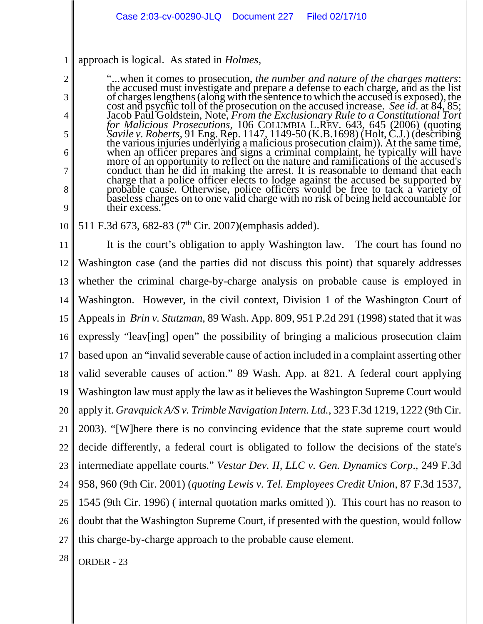#### 1 approach is logical. As stated in *Holmes*,

2

3

4

5

6

7

8

9

"...when it comes to prosecution, *the number and nature of the charges matters*: the accused must investigate and prepare a defense to each charge, and as the list<br>of charges lengthens (along with the sentence to which the accused is exposed), the<br>cost and psychic toll of the prosecution on the accused Jacob Paul Goldstein, Note, *From the Exclusionary Rule to a Constitutional Tort*<br>for Malicious *Prosecutions*, 106 COLUMBIA L.REV. 643, 645 (2006) (quoting<br>*Savile v. Roberts*, 91 Eng. Rep. 1147, 1149-50 (K.B.1698) (Holt, conduct than he did in making the arrest. It is reasonable to demand that each charge that a police officer elects to lodge against the accused be supported by probable cause. Otherwise, police officers would be free to tack a variety of probable cause. Otherwise, police officers would be free to tack a variety of baseless charges on to one valid charge with no risk of being held accountable for their excess."

#### 10 511 F.3d 673, 682-83 (7<sup>th</sup> Cir. 2007)(emphasis added).

11 12 13 14 15 16 17 18 19 20 21 22 23 24 25 26 27 It is the court's obligation to apply Washington law. The court has found no Washington case (and the parties did not discuss this point) that squarely addresses whether the criminal charge-by-charge analysis on probable cause is employed in Washington. However, in the civil context, Division 1 of the Washington Court of Appeals in *Brin v. Stutzman*, 89 Wash. App. 809, 951 P.2d 291 (1998) stated that it was expressly "leav[ing] open" the possibility of bringing a malicious prosecution claim based upon an "invalid severable cause of action included in a complaint asserting other valid severable causes of action." 89 Wash. App. at 821. A federal court applying Washington law must apply the law as it believes the Washington Supreme Court would apply it. *Gravquick A/S v. Trimble Navigation Intern. Ltd.*, 323 F.3d 1219, 1222 (9th Cir. 2003). "[W]here there is no convincing evidence that the state supreme court would decide differently, a federal court is obligated to follow the decisions of the state's intermediate appellate courts." *Vestar Dev. II, LLC v. Gen. Dynamics Corp*., 249 F.3d 958, 960 (9th Cir. 2001) (*quoting Lewis v. Tel. Employees Credit Union*, 87 F.3d 1537, 1545 (9th Cir. 1996) ( internal quotation marks omitted )). This court has no reason to doubt that the Washington Supreme Court, if presented with the question, would follow this charge-by-charge approach to the probable cause element.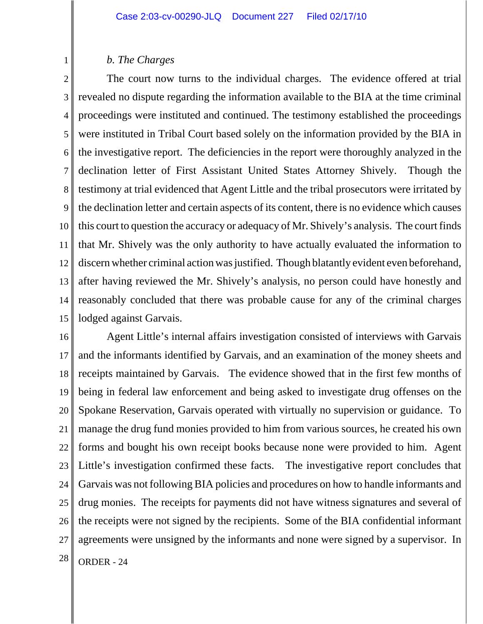## *b. The Charges*

1

2 3 4 5 6 7 8 9 10 11 12 13 14 15 The court now turns to the individual charges. The evidence offered at trial revealed no dispute regarding the information available to the BIA at the time criminal proceedings were instituted and continued. The testimony established the proceedings were instituted in Tribal Court based solely on the information provided by the BIA in the investigative report. The deficiencies in the report were thoroughly analyzed in the declination letter of First Assistant United States Attorney Shively. Though the testimony at trial evidenced that Agent Little and the tribal prosecutors were irritated by the declination letter and certain aspects of its content, there is no evidence which causes this court to question the accuracy or adequacy of Mr. Shively's analysis. The court finds that Mr. Shively was the only authority to have actually evaluated the information to discern whether criminal action was justified. Though blatantly evident even beforehand, after having reviewed the Mr. Shively's analysis, no person could have honestly and reasonably concluded that there was probable cause for any of the criminal charges lodged against Garvais.

16 17 18 19 20 21 22 23 24 25 26 27  $28$  ORDER - 24 Agent Little's internal affairs investigation consisted of interviews with Garvais and the informants identified by Garvais, and an examination of the money sheets and receipts maintained by Garvais. The evidence showed that in the first few months of being in federal law enforcement and being asked to investigate drug offenses on the Spokane Reservation, Garvais operated with virtually no supervision or guidance. To manage the drug fund monies provided to him from various sources, he created his own forms and bought his own receipt books because none were provided to him. Agent Little's investigation confirmed these facts. The investigative report concludes that Garvais was not following BIA policies and procedures on how to handle informants and drug monies. The receipts for payments did not have witness signatures and several of the receipts were not signed by the recipients. Some of the BIA confidential informant agreements were unsigned by the informants and none were signed by a supervisor. In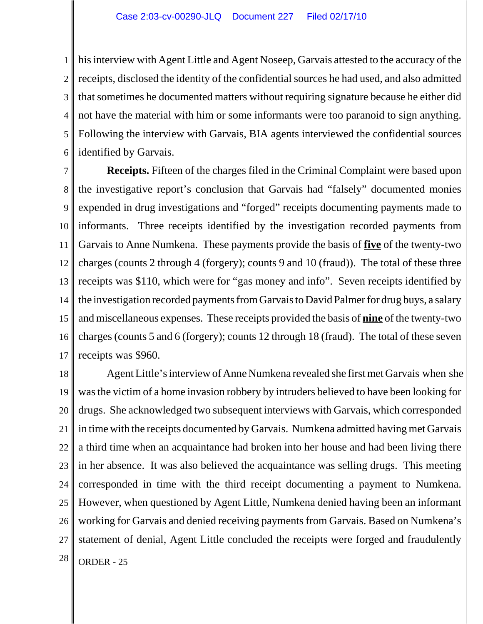1 2 3 4 5 6 his interview with Agent Little and Agent Noseep, Garvais attested to the accuracy of the receipts, disclosed the identity of the confidential sources he had used, and also admitted that sometimes he documented matters without requiring signature because he either did not have the material with him or some informants were too paranoid to sign anything. Following the interview with Garvais, BIA agents interviewed the confidential sources identified by Garvais.

7 8 9 10 11 12 13 14 15 16 17 **Receipts.** Fifteen of the charges filed in the Criminal Complaint were based upon the investigative report's conclusion that Garvais had "falsely" documented monies expended in drug investigations and "forged" receipts documenting payments made to informants. Three receipts identified by the investigation recorded payments from Garvais to Anne Numkena. These payments provide the basis of **five** of the twenty-two charges (counts 2 through 4 (forgery); counts 9 and 10 (fraud)). The total of these three receipts was \$110, which were for "gas money and info". Seven receipts identified by the investigation recorded payments from Garvais to David Palmer for drug buys, a salary and miscellaneous expenses. These receipts provided the basis of **nine** of the twenty-two charges (counts 5 and 6 (forgery); counts 12 through 18 (fraud). The total of these seven receipts was \$960.

18 19 20 21 22 23 24 25 26 27  $28$  ORDER - 25 Agent Little's interview of Anne Numkena revealed she first met Garvais when she was the victim of a home invasion robbery by intruders believed to have been looking for drugs. She acknowledged two subsequent interviews with Garvais, which corresponded in time with the receipts documented by Garvais. Numkena admitted having met Garvais a third time when an acquaintance had broken into her house and had been living there in her absence. It was also believed the acquaintance was selling drugs. This meeting corresponded in time with the third receipt documenting a payment to Numkena. However, when questioned by Agent Little, Numkena denied having been an informant working for Garvais and denied receiving payments from Garvais. Based on Numkena's statement of denial, Agent Little concluded the receipts were forged and fraudulently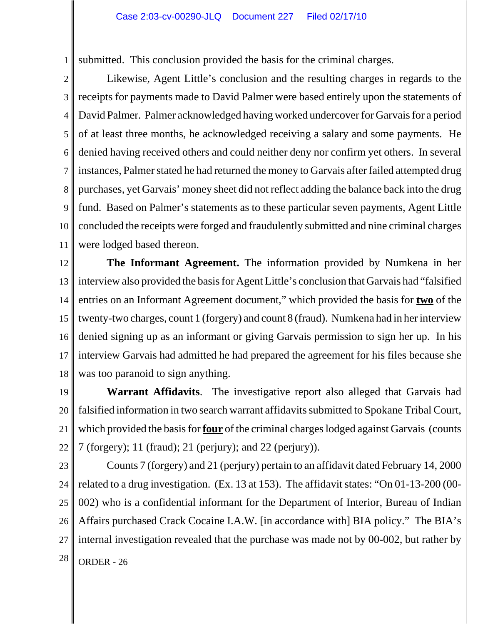1 submitted. This conclusion provided the basis for the criminal charges.

2

3 4 5 6 7 8 9 10 11 Likewise, Agent Little's conclusion and the resulting charges in regards to the receipts for payments made to David Palmer were based entirely upon the statements of David Palmer. Palmer acknowledged having worked undercover for Garvais for a period of at least three months, he acknowledged receiving a salary and some payments. He denied having received others and could neither deny nor confirm yet others. In several instances, Palmer stated he had returned the money to Garvais after failed attempted drug purchases, yet Garvais' money sheet did not reflect adding the balance back into the drug fund. Based on Palmer's statements as to these particular seven payments, Agent Little concluded the receipts were forged and fraudulently submitted and nine criminal charges were lodged based thereon.

12 13 14 15 16 17 18 **The Informant Agreement.** The information provided by Numkena in her interview also provided the basis for Agent Little's conclusion that Garvais had "falsified entries on an Informant Agreement document," which provided the basis for **two** of the twenty-two charges, count 1 (forgery) and count 8 (fraud). Numkena had in her interview denied signing up as an informant or giving Garvais permission to sign her up. In his interview Garvais had admitted he had prepared the agreement for his files because she was too paranoid to sign anything.

19 20 21 22 **Warrant Affidavits**. The investigative report also alleged that Garvais had falsified information in two search warrant affidavits submitted to Spokane Tribal Court, which provided the basis for **four** of the criminal charges lodged against Garvais (counts 7 (forgery); 11 (fraud); 21 (perjury); and 22 (perjury)).

23 24 25 26 27  $28$  ORDER - 26 Counts 7 (forgery) and 21 (perjury) pertain to an affidavit dated February 14, 2000 related to a drug investigation. (Ex. 13 at 153). The affidavit states: "On 01-13-200 (00- 002) who is a confidential informant for the Department of Interior, Bureau of Indian Affairs purchased Crack Cocaine I.A.W. [in accordance with] BIA policy." The BIA's internal investigation revealed that the purchase was made not by 00-002, but rather by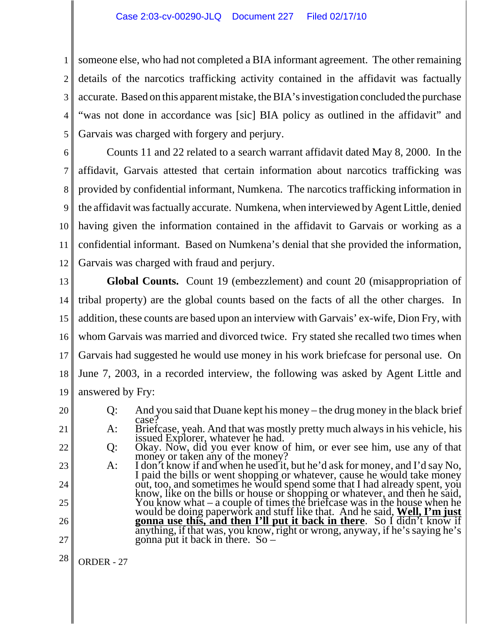1 2 3 4 5 someone else, who had not completed a BIA informant agreement. The other remaining details of the narcotics trafficking activity contained in the affidavit was factually accurate. Based on this apparent mistake, the BIA's investigation concluded the purchase "was not done in accordance was [sic] BIA policy as outlined in the affidavit" and Garvais was charged with forgery and perjury.

6 7 8 9 10 11 12 Counts 11 and 22 related to a search warrant affidavit dated May 8, 2000. In the affidavit, Garvais attested that certain information about narcotics trafficking was provided by confidential informant, Numkena. The narcotics trafficking information in the affidavit was factually accurate. Numkena, when interviewed by Agent Little, denied having given the information contained in the affidavit to Garvais or working as a confidential informant. Based on Numkena's denial that she provided the information, Garvais was charged with fraud and perjury.

13 14 15 16 17 18 19 **Global Counts.** Count 19 (embezzlement) and count 20 (misappropriation of tribal property) are the global counts based on the facts of all the other charges. In addition, these counts are based upon an interview with Garvais' ex-wife, Dion Fry, with whom Garvais was married and divorced twice. Fry stated she recalled two times when Garvais had suggested he would use money in his work briefcase for personal use. On June 7, 2003, in a recorded interview, the following was asked by Agent Little and answered by Fry:

20 21

22 23

24

25

26

27

Q: Okay. Now, did you ever know of him, or ever see him, use any of that<br>money or taken any of the money?<br>A: I don't know if and when he used it, but he'd ask for money, and I'd say No,<br>I paid the bills or went shopping or would be doing paperwork and stuff like that. And he said, **Well, I'm just gonna use this, and then I'll put it back in there**. So I didn't know if anything, if that was, you know, right or wrong, anyway, if he's saying he's gonna put it back in there. So –

Q: And you said that Duane kept his money – the drug money in the black brief case?<br>A: Briefcase, yeah. And that was mostly pretty much always in his vehicle, his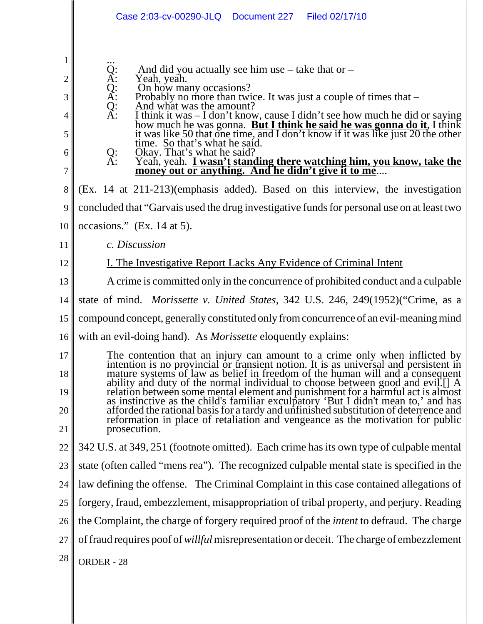|                                                    | Case 2:03-cv-00290-JLQ  Document 227  Filed 02/17/10                                                                                                                                                                                                                                                                                                                                                                                                                                                                           |
|----------------------------------------------------|--------------------------------------------------------------------------------------------------------------------------------------------------------------------------------------------------------------------------------------------------------------------------------------------------------------------------------------------------------------------------------------------------------------------------------------------------------------------------------------------------------------------------------|
| $\mathbf{1}$<br>$\overline{2}$<br>3<br>4<br>5<br>6 | And did you actually see him use $-$ take that or $-$<br>$\overline{X}$ :<br>Yeah, yeah.<br>Q:<br>A:<br>On how many occasions?<br>Probably no more than twice. It was just a couple of times that –<br>And what was the amount?<br>Q: A:<br>I think it was $-$ I don't know, cause I didn't see how much he did or saying<br>how much he was gonna. <b>But I think he said he was gonna do it</b> , I think<br>it was like 50 that one time, and I don't know if it was like just 20<br>Okay. That's what he said?<br>Q:<br>A: |
| 7                                                  | Yeah, yeah. <i>L</i> wasn't standing there watching him, you know, take the<br>money out or anything. And he didn't give it to me                                                                                                                                                                                                                                                                                                                                                                                              |
| 8                                                  | (Ex. 14 at 211-213) (emphasis added). Based on this interview, the investigation                                                                                                                                                                                                                                                                                                                                                                                                                                               |
| 9                                                  | concluded that "Garvais used the drug investigative funds for personal use on at least two                                                                                                                                                                                                                                                                                                                                                                                                                                     |
| 10                                                 | occasions." $(Ex. 14 \text{ at } 5)$ .                                                                                                                                                                                                                                                                                                                                                                                                                                                                                         |
| 11                                                 | c. Discussion                                                                                                                                                                                                                                                                                                                                                                                                                                                                                                                  |
| 12                                                 | <u>I. The Investigative Report Lacks Any Evidence of Criminal Intent</u>                                                                                                                                                                                                                                                                                                                                                                                                                                                       |
| 13                                                 | A crime is committed only in the concurrence of prohibited conduct and a culpable                                                                                                                                                                                                                                                                                                                                                                                                                                              |
| 14                                                 | state of mind. <i>Morissette v. United States</i> , 342 U.S. 246, 249(1952)("Crime, as a                                                                                                                                                                                                                                                                                                                                                                                                                                       |
| 15                                                 | compound concept, generally constituted only from concurrence of an evil-meaning mind                                                                                                                                                                                                                                                                                                                                                                                                                                          |
| 16                                                 | with an evil-doing hand). As <i>Morissette</i> eloquently explains:                                                                                                                                                                                                                                                                                                                                                                                                                                                            |
| 17                                                 | The contention that an injury can amount to a crime only when inflicted by<br>intention is no provincial or transient notion. It is as universal and persistent in                                                                                                                                                                                                                                                                                                                                                             |
| 18                                                 | mature systems of law as belief in freedom of the human will and a consequent<br>ability and duty of the normal individual to choose between good and evil.[] A                                                                                                                                                                                                                                                                                                                                                                |
| 19                                                 |                                                                                                                                                                                                                                                                                                                                                                                                                                                                                                                                |
| 20                                                 | relation between some mental element and punishment for a harmful act is almost<br>as instinctive as the child's familiar exculpatory 'But I didn't mean to,' and has<br>afforded the rational basis for a tardy and unfinished subs                                                                                                                                                                                                                                                                                           |
| 21                                                 | prosecution.                                                                                                                                                                                                                                                                                                                                                                                                                                                                                                                   |
| 22                                                 | 342 U.S. at 349, 251 (footnote omitted). Each crime has its own type of culpable mental                                                                                                                                                                                                                                                                                                                                                                                                                                        |
| 23                                                 | state (often called "mens rea"). The recognized culpable mental state is specified in the                                                                                                                                                                                                                                                                                                                                                                                                                                      |
| 24                                                 | law defining the offense. The Criminal Complaint in this case contained allegations of                                                                                                                                                                                                                                                                                                                                                                                                                                         |
| 25                                                 | forgery, fraud, embezzlement, misappropriation of tribal property, and perjury. Reading                                                                                                                                                                                                                                                                                                                                                                                                                                        |
| 26                                                 | the Complaint, the charge of forgery required proof of the <i>intent</i> to defraud. The charge                                                                                                                                                                                                                                                                                                                                                                                                                                |
| 27                                                 | of fraud requires poof of <i>willful</i> misrepresentation or deceit. The charge of embezzlement                                                                                                                                                                                                                                                                                                                                                                                                                               |
| 28                                                 | ORDER - 28                                                                                                                                                                                                                                                                                                                                                                                                                                                                                                                     |

 $\mathsf I$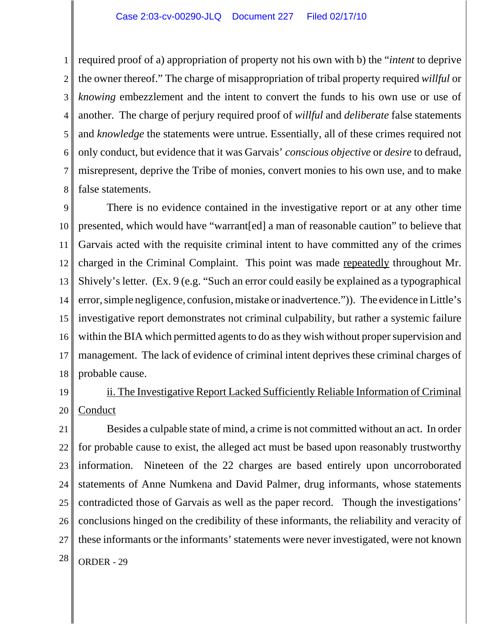1 2 3 4 5 6 7 8 required proof of a) appropriation of property not his own with b) the "*intent* to deprive the owner thereof." The charge of misappropriation of tribal property required *willful* or *knowing* embezzlement and the intent to convert the funds to his own use or use of another. The charge of perjury required proof of *willful* and *deliberate* false statements and *knowledge* the statements were untrue. Essentially, all of these crimes required not only conduct, but evidence that it was Garvais' *conscious objective* or *desire* to defraud, misrepresent, deprive the Tribe of monies, convert monies to his own use, and to make false statements.

9 10 11 12 13 14 15 16 17 18 There is no evidence contained in the investigative report or at any other time presented, which would have "warrant[ed] a man of reasonable caution" to believe that Garvais acted with the requisite criminal intent to have committed any of the crimes charged in the Criminal Complaint. This point was made repeatedly throughout Mr. Shively's letter. (Ex. 9 (e.g. "Such an error could easily be explained as a typographical error, simple negligence, confusion, mistake or inadvertence.")). The evidence in Little's investigative report demonstrates not criminal culpability, but rather a systemic failure within the BIA which permitted agents to do as they wish without proper supervision and management. The lack of evidence of criminal intent deprives these criminal charges of probable cause.

19 20 ii. The Investigative Report Lacked Sufficiently Reliable Information of Criminal Conduct

21 22 23 24 25 26 27  $28$  ORDER - 29 Besides a culpable state of mind, a crime is not committed without an act. In order for probable cause to exist, the alleged act must be based upon reasonably trustworthy information. Nineteen of the 22 charges are based entirely upon uncorroborated statements of Anne Numkena and David Palmer, drug informants, whose statements contradicted those of Garvais as well as the paper record. Though the investigations' conclusions hinged on the credibility of these informants, the reliability and veracity of these informants or the informants' statements were never investigated, were not known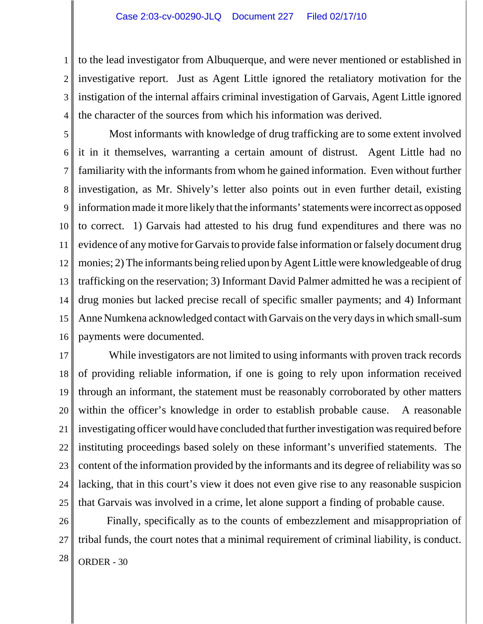1 2 3 4 to the lead investigator from Albuquerque, and were never mentioned or established in investigative report. Just as Agent Little ignored the retaliatory motivation for the instigation of the internal affairs criminal investigation of Garvais, Agent Little ignored the character of the sources from which his information was derived.

5 6 7 8 9 10 11 12 13 14 15 16 Most informants with knowledge of drug trafficking are to some extent involved it in it themselves, warranting a certain amount of distrust. Agent Little had no familiarity with the informants from whom he gained information. Even without further investigation, as Mr. Shively's letter also points out in even further detail, existing information made it more likely that the informants' statements were incorrect as opposed to correct. 1) Garvais had attested to his drug fund expenditures and there was no evidence of any motive for Garvais to provide false information or falsely document drug monies; 2) The informants being relied upon by Agent Little were knowledgeable of drug trafficking on the reservation; 3) Informant David Palmer admitted he was a recipient of drug monies but lacked precise recall of specific smaller payments; and 4) Informant Anne Numkena acknowledged contact with Garvais on the very days in which small-sum payments were documented.

17 18 19 20 21 22 23 24 25 While investigators are not limited to using informants with proven track records of providing reliable information, if one is going to rely upon information received through an informant, the statement must be reasonably corroborated by other matters within the officer's knowledge in order to establish probable cause. A reasonable investigating officer would have concluded that further investigation was required before instituting proceedings based solely on these informant's unverified statements. The content of the information provided by the informants and its degree of reliability was so lacking, that in this court's view it does not even give rise to any reasonable suspicion that Garvais was involved in a crime, let alone support a finding of probable cause.

26 27  $28$  ORDER - 30 Finally, specifically as to the counts of embezzlement and misappropriation of tribal funds, the court notes that a minimal requirement of criminal liability, is conduct.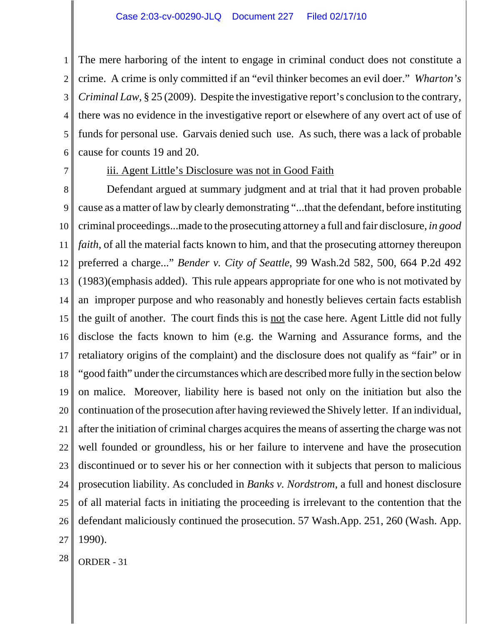1 2 3 4 5 6 The mere harboring of the intent to engage in criminal conduct does not constitute a crime. A crime is only committed if an "evil thinker becomes an evil doer." *Wharton's Criminal Law*, § 25 (2009). Despite the investigative report's conclusion to the contrary, there was no evidence in the investigative report or elsewhere of any overt act of use of funds for personal use. Garvais denied such use. As such, there was a lack of probable cause for counts 19 and 20.

7

## iii. Agent Little's Disclosure was not in Good Faith

8 9 10 11 12 13 14 15 16 17 18 19 20 21 22 23 24 25 26 27 Defendant argued at summary judgment and at trial that it had proven probable cause as a matter of law by clearly demonstrating "...that the defendant, before instituting criminal proceedings...made to the prosecuting attorney a full and fair disclosure, *in good faith*, of all the material facts known to him, and that the prosecuting attorney thereupon preferred a charge..." *Bender v. City of Seattle*, 99 Wash.2d 582, 500, 664 P.2d 492 (1983)(emphasis added). This rule appears appropriate for one who is not motivated by an improper purpose and who reasonably and honestly believes certain facts establish the guilt of another. The court finds this is not the case here. Agent Little did not fully disclose the facts known to him (e.g. the Warning and Assurance forms, and the retaliatory origins of the complaint) and the disclosure does not qualify as "fair" or in "good faith" under the circumstances which are described more fully in the section below on malice. Moreover, liability here is based not only on the initiation but also the continuation of the prosecution after having reviewed the Shively letter. If an individual, after the initiation of criminal charges acquires the means of asserting the charge was not well founded or groundless, his or her failure to intervene and have the prosecution discontinued or to sever his or her connection with it subjects that person to malicious prosecution liability. As concluded in *Banks v. Nordstrom*, a full and honest disclosure of all material facts in initiating the proceeding is irrelevant to the contention that the defendant maliciously continued the prosecution. 57 Wash.App. 251, 260 (Wash. App. 1990).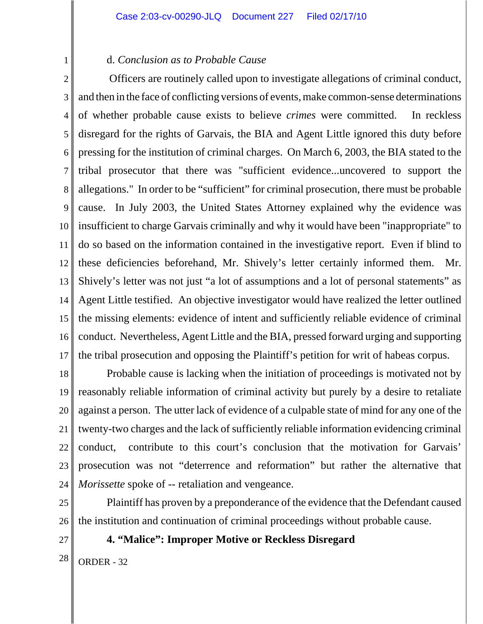## d. *Conclusion as to Probable Cause*

2 3 4 5 6 7 8 9 10 11 12 13 14 15 16 17 Officers are routinely called upon to investigate allegations of criminal conduct, and then in the face of conflicting versions of events, make common-sense determinations of whether probable cause exists to believe *crimes* were committed. In reckless disregard for the rights of Garvais, the BIA and Agent Little ignored this duty before pressing for the institution of criminal charges. On March 6, 2003, the BIA stated to the tribal prosecutor that there was "sufficient evidence...uncovered to support the allegations." In order to be "sufficient" for criminal prosecution, there must be probable cause. In July 2003, the United States Attorney explained why the evidence was insufficient to charge Garvais criminally and why it would have been "inappropriate" to do so based on the information contained in the investigative report. Even if blind to these deficiencies beforehand, Mr. Shively's letter certainly informed them. Mr. Shively's letter was not just "a lot of assumptions and a lot of personal statements" as Agent Little testified. An objective investigator would have realized the letter outlined the missing elements: evidence of intent and sufficiently reliable evidence of criminal conduct. Nevertheless, Agent Little and the BIA, pressed forward urging and supporting the tribal prosecution and opposing the Plaintiff's petition for writ of habeas corpus.

18 19 20 21 22 23 24 Probable cause is lacking when the initiation of proceedings is motivated not by reasonably reliable information of criminal activity but purely by a desire to retaliate against a person. The utter lack of evidence of a culpable state of mind for any one of the twenty-two charges and the lack of sufficiently reliable information evidencing criminal conduct, contribute to this court's conclusion that the motivation for Garvais' prosecution was not "deterrence and reformation" but rather the alternative that *Morissette* spoke of -- retaliation and vengeance.

- 25 26 Plaintiff has proven by a preponderance of the evidence that the Defendant caused the institution and continuation of criminal proceedings without probable cause.
- 27

1

**4. "Malice": Improper Motive or Reckless Disregard**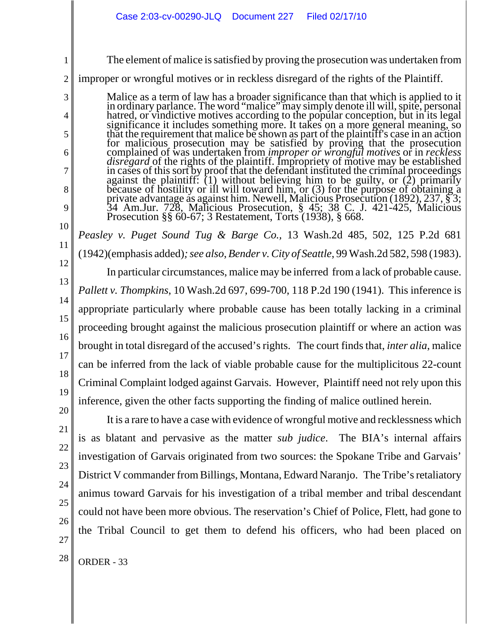The element of malice is satisfied by proving the prosecution was undertaken from

2 improper or wrongful motives or in reckless disregard of the rights of the Plaintiff.

Malice as a term of law has a broader significance than that which is applied to it<br>in ordinary parlance. The word "malice" may simply denote ill will, spite, personal<br>hatred, or vindictive motives according to the popular significance it includes something more. It takes on a more general meaning, so<br>that the requirement that malice be shown as part of the plaintiff's case in an action<br>for malicious prosecution may be satisfied by proving t complained of was undertaken from *improper or wrongful motives* or in *reckless disregard* of the rights of the plaintiff. Impropriety of motive may be established<br>in cases of this sort by proof that the defendant instituted the criminal proceedings<br>against the plaintiff: (1) without believing him to because of hostility or ill will toward him, or (3) for the purpose of obtaining a private advantage as against him. Newell, Malicious Prosecution (1892), 237, § 3; 34 Am.Jur. 728, Malicious Prosecution, § 45; 38 C. J. 42 Prosecution §§ 60-67; 3 Restatement, Torts (1938), § 668.

*Peasley v. Puget Sound Tug & Barge Co.,* 13 Wash.2d 485, 502, 125 P.2d 681 (1942)(emphasis added)*; see also*, *Bender v. City of Seattle*, 99 Wash.2d 582, 598 (1983).

In particular circumstances, malice may be inferred from a lack of probable cause. *Pallett v. Thompkins*, 10 Wash.2d 697, 699-700, 118 P.2d 190 (1941). This inference is appropriate particularly where probable cause has been totally lacking in a criminal proceeding brought against the malicious prosecution plaintiff or where an action was brought in total disregard of the accused's rights. The court finds that, *inter alia*, malice can be inferred from the lack of viable probable cause for the multiplicitous 22-count Criminal Complaint lodged against Garvais. However, Plaintiff need not rely upon this inference, given the other facts supporting the finding of malice outlined herein.

It is a rare to have a case with evidence of wrongful motive and recklessness which

27

1

3

4

5

6

7

8

9

10

11

12

13

14

15

16

17

18

is as blatant and pervasive as the matter *sub judice*. The BIA's internal affairs investigation of Garvais originated from two sources: the Spokane Tribe and Garvais' District V commander from Billings, Montana, Edward Naranjo. The Tribe's retaliatory animus toward Garvais for his investigation of a tribal member and tribal descendant could not have been more obvious. The reservation's Chief of Police, Flett, had gone to the Tribal Council to get them to defend his officers, who had been placed on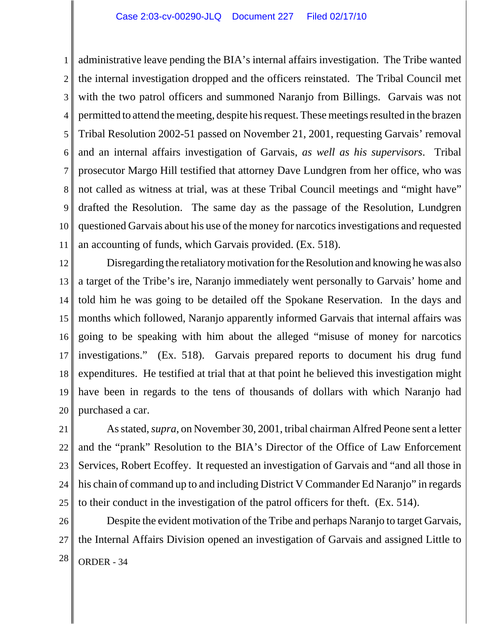1 2 3 4 5 6 7 8 9 10 11 administrative leave pending the BIA's internal affairs investigation. The Tribe wanted the internal investigation dropped and the officers reinstated. The Tribal Council met with the two patrol officers and summoned Naranjo from Billings. Garvais was not permitted to attend the meeting, despite his request. These meetings resulted in the brazen Tribal Resolution 2002-51 passed on November 21, 2001, requesting Garvais' removal and an internal affairs investigation of Garvais, *as well as his supervisors*. Tribal prosecutor Margo Hill testified that attorney Dave Lundgren from her office, who was not called as witness at trial, was at these Tribal Council meetings and "might have" drafted the Resolution. The same day as the passage of the Resolution, Lundgren questioned Garvais about his use of the money for narcotics investigations and requested an accounting of funds, which Garvais provided. (Ex. 518).

12 13 14 15 16 17 18 19 20 Disregarding the retaliatory motivation for the Resolution and knowing he was also a target of the Tribe's ire, Naranjo immediately went personally to Garvais' home and told him he was going to be detailed off the Spokane Reservation. In the days and months which followed, Naranjo apparently informed Garvais that internal affairs was going to be speaking with him about the alleged "misuse of money for narcotics investigations." (Ex. 518). Garvais prepared reports to document his drug fund expenditures. He testified at trial that at that point he believed this investigation might have been in regards to the tens of thousands of dollars with which Naranjo had purchased a car.

21 22 23 24 25 As stated, *supra*, on November 30, 2001, tribal chairman Alfred Peone sent a letter and the "prank" Resolution to the BIA's Director of the Office of Law Enforcement Services, Robert Ecoffey. It requested an investigation of Garvais and "and all those in his chain of command up to and including District V Commander Ed Naranjo" in regards to their conduct in the investigation of the patrol officers for theft. (Ex. 514).

26 27  $28$  ORDER - 34 Despite the evident motivation of the Tribe and perhaps Naranjo to target Garvais, the Internal Affairs Division opened an investigation of Garvais and assigned Little to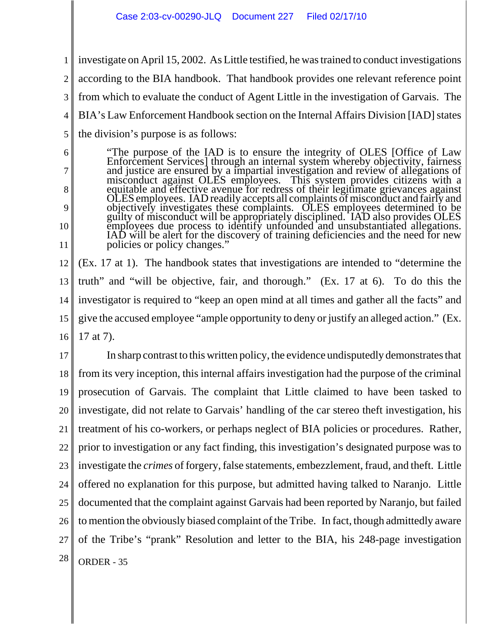6

7

8

9

10

11

1 2 3 4 5 investigate on April 15, 2002. As Little testified, he was trained to conduct investigations according to the BIA handbook. That handbook provides one relevant reference point from which to evaluate the conduct of Agent Little in the investigation of Garvais. The BIA's Law Enforcement Handbook section on the Internal Affairs Division [IAD] states the division's purpose is as follows:

"The purpose of the IAD is to ensure the integrity of OLES [Office of Law Enforcement Services] through an internal system whereby objectivity, fairness and justice are ensured by a impartial investigation and review of al OLES employees. IAD readily accepts all complaints of misconduct and fairly and<br>objectively investigates these complaints. OLES employees determined to be<br>guilty of misconduct will be appropriately disciplined. IAD also pr

12 13 14 15 16 (Ex. 17 at 1). The handbook states that investigations are intended to "determine the truth" and "will be objective, fair, and thorough." (Ex. 17 at 6). To do this the investigator is required to "keep an open mind at all times and gather all the facts" and give the accused employee "ample opportunity to deny or justify an alleged action." (Ex. 17 at 7).

17 18 19 20 21 22 23 24 25 26 27  $28$  ORDER - 35 In sharp contrast to this written policy, the evidence undisputedly demonstrates that from its very inception, this internal affairs investigation had the purpose of the criminal prosecution of Garvais. The complaint that Little claimed to have been tasked to investigate, did not relate to Garvais' handling of the car stereo theft investigation, his treatment of his co-workers, or perhaps neglect of BIA policies or procedures. Rather, prior to investigation or any fact finding, this investigation's designated purpose was to investigate the *crimes* of forgery, false statements, embezzlement, fraud, and theft. Little offered no explanation for this purpose, but admitted having talked to Naranjo. Little documented that the complaint against Garvais had been reported by Naranjo, but failed to mention the obviously biased complaint of the Tribe. In fact, though admittedly aware of the Tribe's "prank" Resolution and letter to the BIA, his 248-page investigation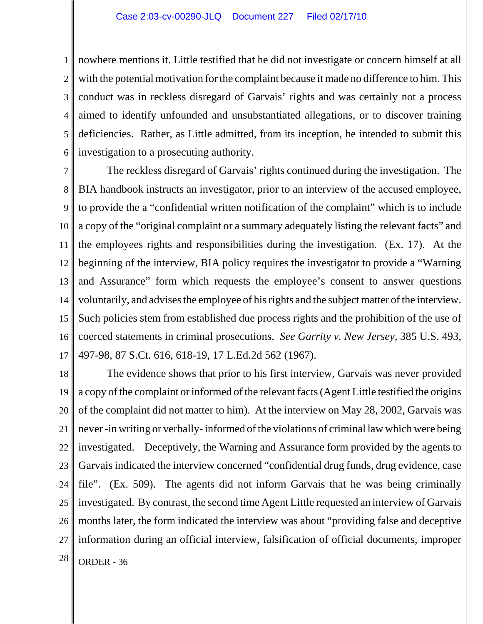1 2 3 4 5 6 nowhere mentions it. Little testified that he did not investigate or concern himself at all with the potential motivation for the complaint because it made no difference to him. This conduct was in reckless disregard of Garvais' rights and was certainly not a process aimed to identify unfounded and unsubstantiated allegations, or to discover training deficiencies. Rather, as Little admitted, from its inception, he intended to submit this investigation to a prosecuting authority.

7 8 9 10 11 12 13 14 15 16 17 The reckless disregard of Garvais' rights continued during the investigation. The BIA handbook instructs an investigator, prior to an interview of the accused employee, to provide the a "confidential written notification of the complaint" which is to include a copy of the "original complaint or a summary adequately listing the relevant facts" and the employees rights and responsibilities during the investigation. (Ex. 17). At the beginning of the interview, BIA policy requires the investigator to provide a "Warning and Assurance" form which requests the employee's consent to answer questions voluntarily, and advises the employee of his rights and the subject matter of the interview. Such policies stem from established due process rights and the prohibition of the use of coerced statements in criminal prosecutions. *See Garrity v. New Jersey,* 385 U.S. 493, 497-98, 87 S.Ct. 616, 618-19, 17 L.Ed.2d 562 (1967).

18 19 20 21 22 23 24 25 26 27  $28$  ORDER - 36 The evidence shows that prior to his first interview, Garvais was never provided a copy of the complaint or informed of the relevant facts (Agent Little testified the origins of the complaint did not matter to him). At the interview on May 28, 2002, Garvais was never -in writing or verbally- informed of the violations of criminal law which were being investigated. Deceptively, the Warning and Assurance form provided by the agents to Garvais indicated the interview concerned "confidential drug funds, drug evidence, case file". (Ex. 509). The agents did not inform Garvais that he was being criminally investigated. By contrast, the second time Agent Little requested an interview of Garvais months later, the form indicated the interview was about "providing false and deceptive information during an official interview, falsification of official documents, improper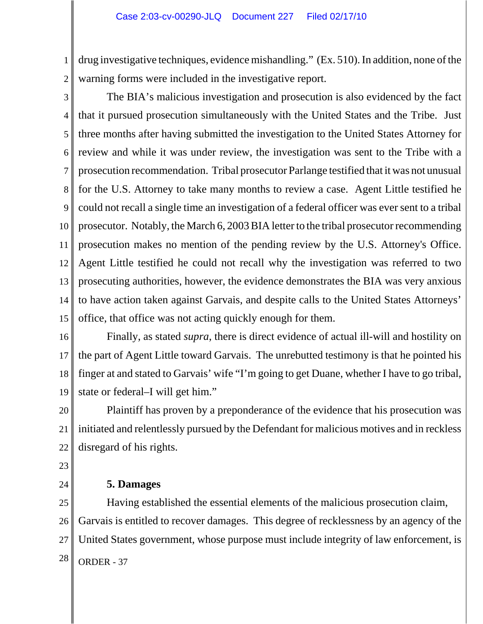1 2 drug investigative techniques, evidence mishandling." (Ex. 510). In addition, none of the warning forms were included in the investigative report.

3 4 5 6 7 8 9 10 11 12 13 14 15 The BIA's malicious investigation and prosecution is also evidenced by the fact that it pursued prosecution simultaneously with the United States and the Tribe. Just three months after having submitted the investigation to the United States Attorney for review and while it was under review, the investigation was sent to the Tribe with a prosecution recommendation. Tribal prosecutor Parlange testified that it was not unusual for the U.S. Attorney to take many months to review a case. Agent Little testified he could not recall a single time an investigation of a federal officer was ever sent to a tribal prosecutor. Notably, the March 6, 2003 BIA letter to the tribal prosecutor recommending prosecution makes no mention of the pending review by the U.S. Attorney's Office. Agent Little testified he could not recall why the investigation was referred to two prosecuting authorities, however, the evidence demonstrates the BIA was very anxious to have action taken against Garvais, and despite calls to the United States Attorneys' office, that office was not acting quickly enough for them.

16

17 18 19 Finally, as stated *supra*, there is direct evidence of actual ill-will and hostility on the part of Agent Little toward Garvais. The unrebutted testimony is that he pointed his finger at and stated to Garvais' wife "I'm going to get Duane, whether I have to go tribal, state or federal–I will get him."

20 21 22 Plaintiff has proven by a preponderance of the evidence that his prosecution was initiated and relentlessly pursued by the Defendant for malicious motives and in reckless disregard of his rights.

23

24

## **5. Damages**

25 26 27  $28$  ORDER - 37 Having established the essential elements of the malicious prosecution claim, Garvais is entitled to recover damages. This degree of recklessness by an agency of the United States government, whose purpose must include integrity of law enforcement, is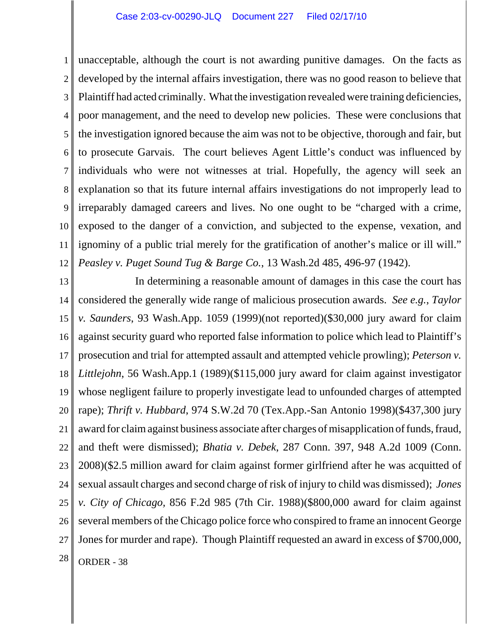1 2 3 4 5 6 7 8 9 10 11 12 unacceptable, although the court is not awarding punitive damages. On the facts as developed by the internal affairs investigation, there was no good reason to believe that Plaintiff had acted criminally. What the investigation revealed were training deficiencies, poor management, and the need to develop new policies. These were conclusions that the investigation ignored because the aim was not to be objective, thorough and fair, but to prosecute Garvais. The court believes Agent Little's conduct was influenced by individuals who were not witnesses at trial. Hopefully, the agency will seek an explanation so that its future internal affairs investigations do not improperly lead to irreparably damaged careers and lives. No one ought to be "charged with a crime, exposed to the danger of a conviction, and subjected to the expense, vexation, and ignominy of a public trial merely for the gratification of another's malice or ill will." *Peasley v. Puget Sound Tug & Barge Co.*, 13 Wash.2d 485, 496-97 (1942).

13 14 15 16 17 18 19 20 21 22 23 24 25 26 27  $28$  ORDER - 38 In determining a reasonable amount of damages in this case the court has considered the generally wide range of malicious prosecution awards. *See e.g.*, *Taylor v. Saunders*, 93 Wash.App. 1059 (1999)(not reported)(\$30,000 jury award for claim against security guard who reported false information to police which lead to Plaintiff's prosecution and trial for attempted assault and attempted vehicle prowling); *Peterson v. Littlejohn*, 56 Wash.App.1 (1989)(\$115,000 jury award for claim against investigator whose negligent failure to properly investigate lead to unfounded charges of attempted rape); *Thrift v. Hubbard*, 974 S.W.2d 70 (Tex.App.-San Antonio 1998)(\$437,300 jury award for claim against business associate after charges of misapplication of funds, fraud, and theft were dismissed); *Bhatia v. Debek*, 287 Conn. 397, 948 A.2d 1009 (Conn. 2008)(\$2.5 million award for claim against former girlfriend after he was acquitted of sexual assault charges and second charge of risk of injury to child was dismissed); *Jones v. City of Chicago,* 856 F.2d 985 (7th Cir. 1988)(\$800,000 award for claim against several members of the Chicago police force who conspired to frame an innocent George Jones for murder and rape). Though Plaintiff requested an award in excess of \$700,000,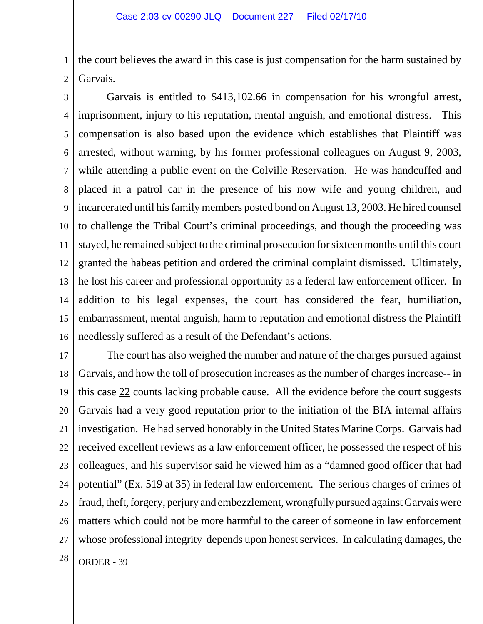1 2 the court believes the award in this case is just compensation for the harm sustained by Garvais.

3 4 5 6 7 8 9 10 11 12 13 14 15 16 Garvais is entitled to \$413,102.66 in compensation for his wrongful arrest, imprisonment, injury to his reputation, mental anguish, and emotional distress. This compensation is also based upon the evidence which establishes that Plaintiff was arrested, without warning, by his former professional colleagues on August 9, 2003, while attending a public event on the Colville Reservation. He was handcuffed and placed in a patrol car in the presence of his now wife and young children, and incarcerated until his family members posted bond on August 13, 2003. He hired counsel to challenge the Tribal Court's criminal proceedings, and though the proceeding was stayed, he remained subject to the criminal prosecution for sixteen months until this court granted the habeas petition and ordered the criminal complaint dismissed. Ultimately, he lost his career and professional opportunity as a federal law enforcement officer. In addition to his legal expenses, the court has considered the fear, humiliation, embarrassment, mental anguish, harm to reputation and emotional distress the Plaintiff needlessly suffered as a result of the Defendant's actions.

17 18 19 20 21 22 23 24 25 26 27  $28$  ORDER - 39 The court has also weighed the number and nature of the charges pursued against Garvais, and how the toll of prosecution increases as the number of charges increase-- in this case 22 counts lacking probable cause. All the evidence before the court suggests Garvais had a very good reputation prior to the initiation of the BIA internal affairs investigation. He had served honorably in the United States Marine Corps. Garvais had received excellent reviews as a law enforcement officer, he possessed the respect of his colleagues, and his supervisor said he viewed him as a "damned good officer that had potential" (Ex. 519 at 35) in federal law enforcement. The serious charges of crimes of fraud, theft, forgery, perjury and embezzlement, wrongfully pursued against Garvais were matters which could not be more harmful to the career of someone in law enforcement whose professional integrity depends upon honest services. In calculating damages, the